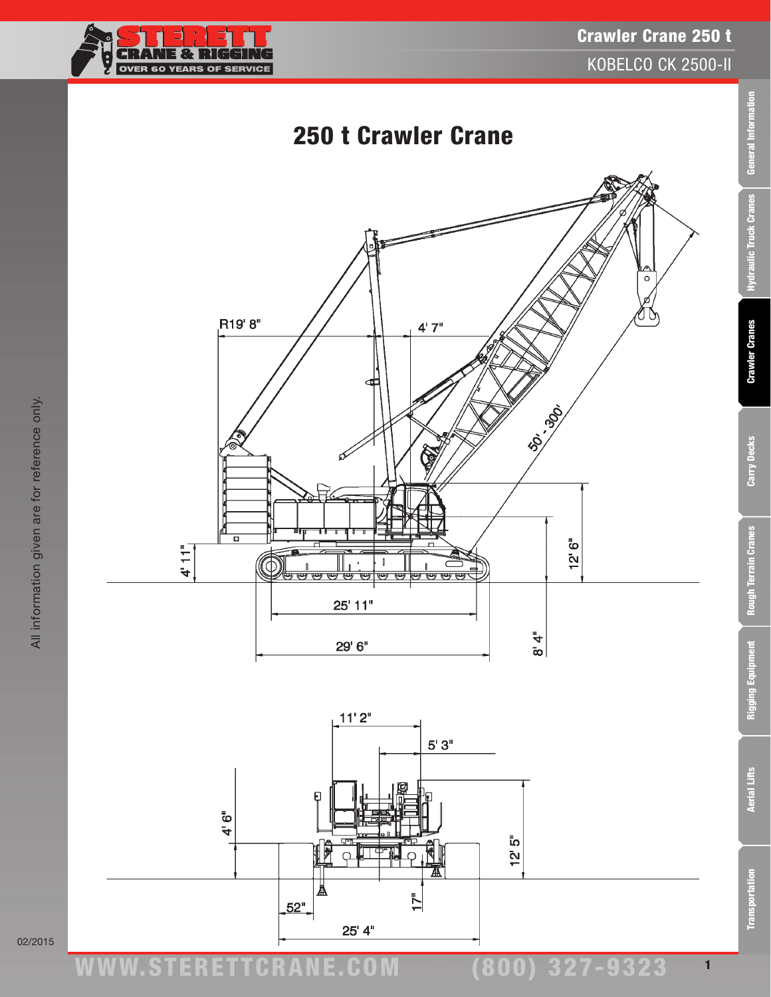



02/2015

**Transportation**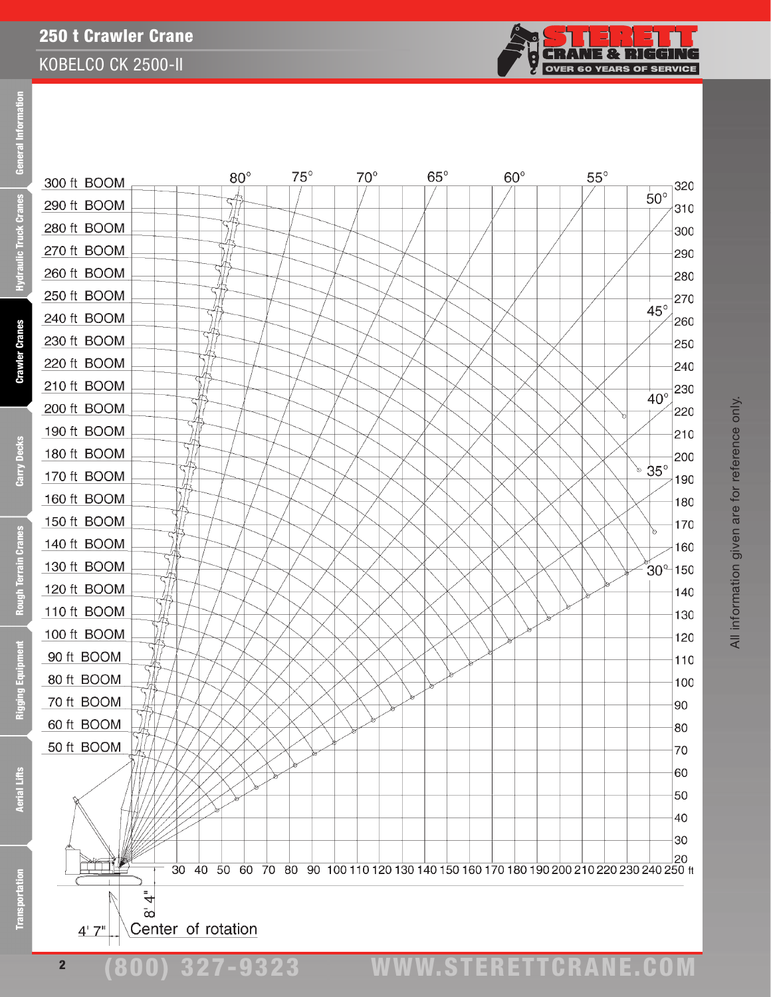

Transportation Aerial Lifts Rigging Equipment Rough Terrain Cranes Carry Decks Crawler Cranes Hydraulic Truck Cranes General Information Informat **Fal** Ē **Cranes** 

Hydraulic Truck

portation

Ē

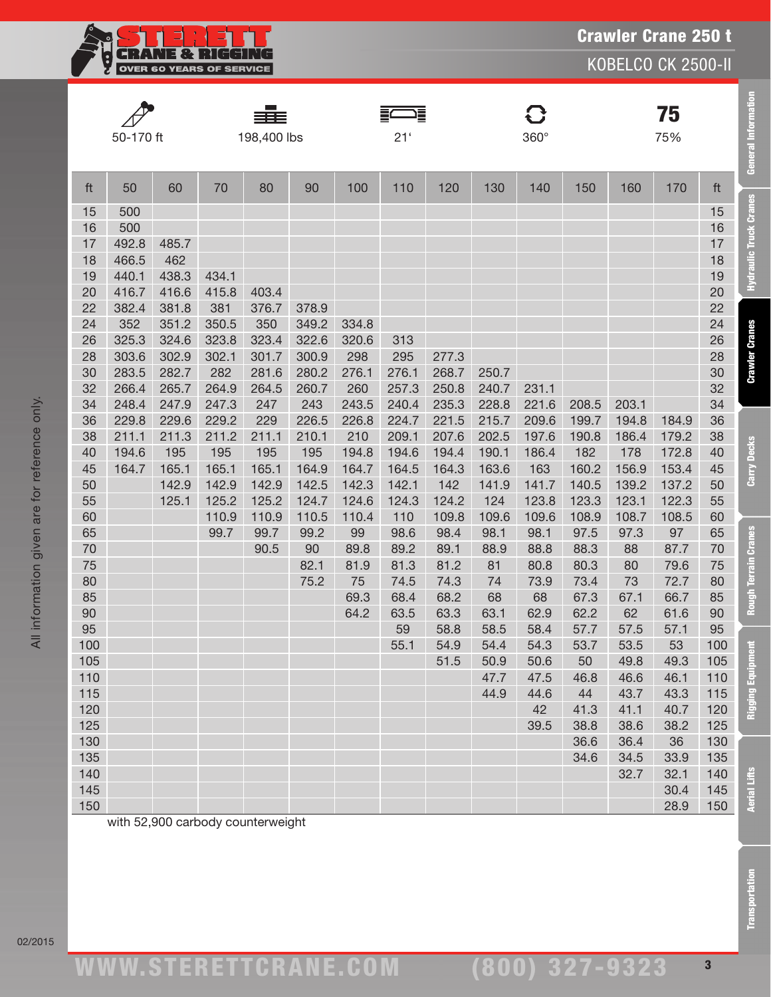

|          | 50-170 ft      |              |              | 198,400 lbs  |              |                | 這<br>21 <sup>′</sup> |              |                | $\mathbf G$<br>360° |                |              | 75<br>75%      |          |
|----------|----------------|--------------|--------------|--------------|--------------|----------------|----------------------|--------------|----------------|---------------------|----------------|--------------|----------------|----------|
| ft       | 50             | 60           | 70           | 80           | 90           | 100            | 110                  | 120          | 130            | 140                 | 150            | 160          | 170            | ft       |
| 15       | 500            |              |              |              |              |                |                      |              |                |                     |                |              |                | 15       |
| 16       | 500            |              |              |              |              |                |                      |              |                |                     |                |              |                | 16       |
| 17       | 492.8          | 485.7        |              |              |              |                |                      |              |                |                     |                |              |                | 17       |
| 18       | 466.5          | 462          |              |              |              |                |                      |              |                |                     |                |              |                | 18       |
| 19       | 440.1          | 438.3        | 434.1        |              |              |                |                      |              |                |                     |                |              |                | 19       |
| 20       | 416.7          | 416.6        | 415.8        | 403.4        |              |                |                      |              |                |                     |                |              |                | 20       |
| 22       | 382.4          | 381.8        | 381          | 376.7        | 378.9        |                |                      |              |                |                     |                |              |                | 22       |
| 24       | 352            | 351.2        | 350.5        | 350          | 349.2        | 334.8          |                      |              |                |                     |                |              |                | 24       |
| 26       | 325.3          | 324.6        | 323.8        | 323.4        | 322.6        | 320.6          | 313                  |              |                |                     |                |              |                | 26       |
| 28       | 303.6          | 302.9        | 302.1        | 301.7        | 300.9        | 298            | 295                  | 277.3        |                |                     |                |              |                | 28       |
| 30       | 283.5          | 282.7        | 282          | 281.6        | 280.2        | 276.1          | 276.1                | 268.7        | 250.7          |                     |                |              |                | 30       |
| 32       | 266.4          | 265.7        | 264.9        | 264.5        | 260.7        | 260            | 257.3                | 250.8        | 240.7          | 231.1               |                |              |                | 32       |
| 34       | 248.4          | 247.9        | 247.3        | 247          | 243          | 243.5          | 240.4                | 235.3        | 228.8          | 221.6               | 208.5          | 203.1        |                | 34       |
| 36       | 229.8          | 229.6        | 229.2        | 229          | 226.5        | 226.8          | 224.7                | 221.5        | 215.7          | 209.6               | 199.7          | 194.8        | 184.9          | 36       |
| 38       | 211.1          | 211.3        | 211.2        | 211.1        | 210.1        | 210            | 209.1                | 207.6        | 202.5          | 197.6               | 190.8          | 186.4        | 179.2          | 38       |
| 40<br>45 | 194.6<br>164.7 | 195<br>165.1 | 195<br>165.1 | 195<br>165.1 | 195<br>164.9 | 194.8<br>164.7 | 194.6                | 194.4        | 190.1          | 186.4<br>163        | 182            | 178<br>156.9 | 172.8          | 40<br>45 |
| 50       |                | 142.9        | 142.9        | 142.9        | 142.5        | 142.3          | 164.5<br>142.1       | 164.3<br>142 | 163.6<br>141.9 | 141.7               | 160.2<br>140.5 | 139.2        | 153.4<br>137.2 | 50       |
| 55       |                | 125.1        | 125.2        | 125.2        | 124.7        | 124.6          | 124.3                | 124.2        | 124            | 123.8               | 123.3          | 123.1        | 122.3          | 55       |
| 60       |                |              | 110.9        | 110.9        | 110.5        | 110.4          | 110                  | 109.8        | 109.6          | 109.6               | 108.9          | 108.7        | 108.5          | 60       |
| 65       |                |              | 99.7         | 99.7         | 99.2         | 99             | 98.6                 | 98.4         | 98.1           | 98.1                | 97.5           | 97.3         | 97             | 65       |
| 70       |                |              |              | 90.5         | 90           | 89.8           | 89.2                 | 89.1         | 88.9           | 88.8                | 88.3           | 88           | 87.7           | 70       |
| 75       |                |              |              |              | 82.1         | 81.9           | 81.3                 | 81.2         | 81             | 80.8                | 80.3           | 80           | 79.6           | 75       |
| 80       |                |              |              |              | 75.2         | 75             | 74.5                 | 74.3         | 74             | 73.9                | 73.4           | 73           | 72.7           | 80       |
| 85       |                |              |              |              |              | 69.3           | 68.4                 | 68.2         | 68             | 68                  | 67.3           | 67.1         | 66.7           | 85       |
| 90       |                |              |              |              |              | 64.2           | 63.5                 | 63.3         | 63.1           | 62.9                | 62.2           | 62           | 61.6           | 90       |
| 95       |                |              |              |              |              |                | 59                   | 58.8         | 58.5           | 58.4                | 57.7           | 57.5         | 57.1           | 95       |
| 100      |                |              |              |              |              |                | 55.1                 | 54.9         | 54.4           | 54.3                | 53.7           | 53.5         | 53             | 100      |
| 105      |                |              |              |              |              |                |                      | 51.5         | 50.9           | 50.6                | 50             | 49.8         | 49.3           | 105      |
| 110      |                |              |              |              |              |                |                      |              | 47.7           | 47.5                | 46.8           | 46.6         | 46.1           | 110      |
| 115      |                |              |              |              |              |                |                      |              | 44.9           | 44.6                | 44             | 43.7         | 43.3           | 115      |
| 120      |                |              |              |              |              |                |                      |              |                | 42                  | 41.3           | 41.1         | 40.7           | 120      |
| 125      |                |              |              |              |              |                |                      |              |                | 39.5                | 38.8           | 38.6         | 38.2           | 125      |
| 130      |                |              |              |              |              |                |                      |              |                |                     | 36.6           | 36.4         | 36             | 130      |
| 135      |                |              |              |              |              |                |                      |              |                |                     | 34.6           | 34.5         | 33.9           | 135      |
| 140      |                |              |              |              |              |                |                      |              |                |                     |                | 32.7         | 32.1           | 140      |
| 145      |                |              |              |              |              |                |                      |              |                |                     |                |              | 30.4           | 145      |
| 150      |                |              |              |              |              |                |                      |              |                |                     |                |              | 28.9           | 150      |

with 52,900 carbody counterweight

Transportation Aerial Lifts Rigging Equipment Rough Terrain Cranes Carry Decks Crawler Cranes Hydraulic Truck Cranes General Information

**Rough Terrain Cranes** 

**Rigging Equipment** 

**Aerial Lifts** 

**Transportation** 

Carry Decks

**General Information** 

**Hydraulic Truck Cranes**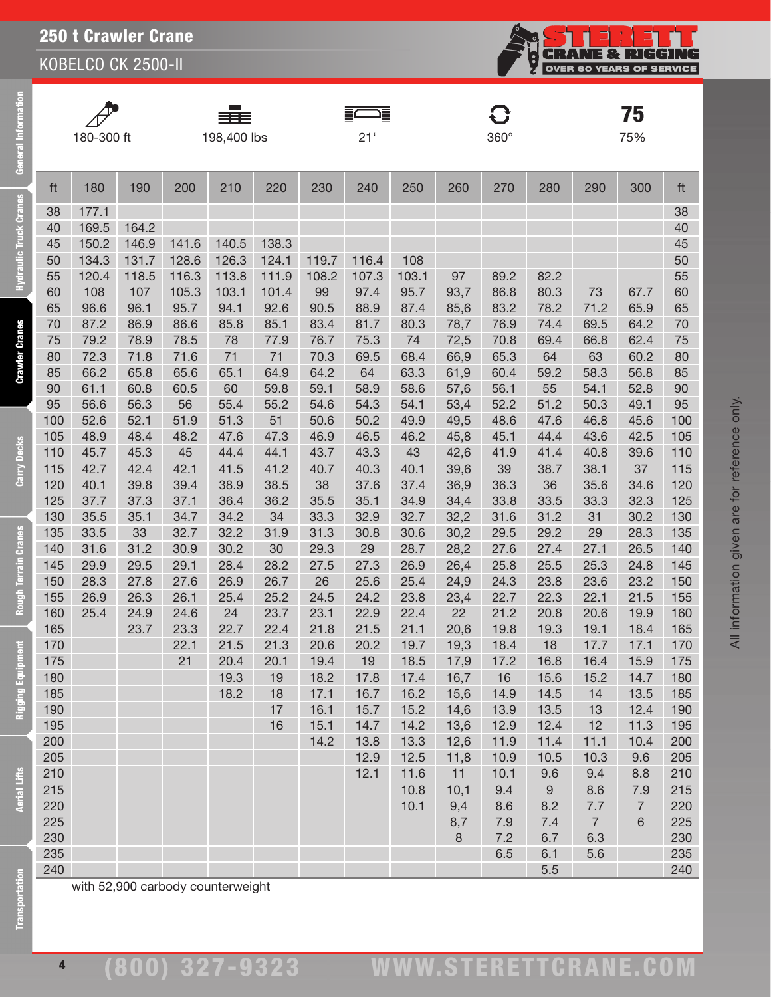

| $\sqrt{}$ |
|-----------|
| 180-      |
|           |

General Information

lic Truck Cran

**Crawler Cranes** 

Carry Decks

Terrain Cranes

Rous

Equipment

Rigo

**Aerial Lifts** 

 $\phi$ 

▆▇▆  $198,400$  lbs 21' 360°

F

|         |            |      |     | ≣≣          |     |     | ⊫   |     |     |             |     |     | 75  |           |
|---------|------------|------|-----|-------------|-----|-----|-----|-----|-----|-------------|-----|-----|-----|-----------|
|         | 180-300 ft |      |     | 198,400 lbs |     |     | 21' |     |     | $360^\circ$ |     |     | 75% |           |
|         |            |      |     |             |     |     |     |     |     |             |     |     |     |           |
| ft      | 180        | 190  | 200 | 210         | 220 | 230 | 240 | 250 | 260 | 270         | 280 | 290 | 300 | ft        |
| 38      | 177.1      |      |     |             |     |     |     |     |     |             |     |     |     | 38        |
| $1\cap$ | 160F       | 1612 |     |             |     |     |     |     |     |             |     |     |     | $\Lambda$ |

| 38         | 177.1 |       |       |       |       |       |       |              |            |            |          |                |                       | 38         |
|------------|-------|-------|-------|-------|-------|-------|-------|--------------|------------|------------|----------|----------------|-----------------------|------------|
| 40         | 169.5 | 164.2 |       |       |       |       |       |              |            |            |          |                |                       | 40         |
| 45         | 150.2 | 146.9 | 141.6 | 140.5 | 138.3 |       |       |              |            |            |          |                |                       | 45         |
| 50         | 134.3 | 131.7 | 128.6 | 126.3 | 124.1 | 119.7 | 116.4 | 108          |            |            |          |                |                       | 50         |
| 55         | 120.4 | 118.5 | 116.3 | 113.8 | 111.9 | 108.2 | 107.3 | 103.1        | 97         | 89.2       | 82.2     |                |                       | 55         |
| 60         | 108   | 107   | 105.3 | 103.1 | 101.4 | 99    | 97.4  | 95.7         | 93,7       | 86.8       | 80.3     | 73             | 67.7                  | 60         |
| 65         | 96.6  | 96.1  | 95.7  | 94.1  | 92.6  | 90.5  | 88.9  | 87.4         | 85,6       | 83.2       | 78.2     | 71.2           | 65.9                  | 65         |
| 70         | 87.2  | 86.9  | 86.6  | 85.8  | 85.1  | 83.4  | 81.7  | 80.3         | 78,7       | 76.9       | 74.4     | 69.5           | 64.2                  | 70         |
| 75         | 79.2  | 78.9  | 78.5  | 78    | 77.9  | 76.7  | 75.3  | 74           | 72,5       | 70.8       | 69.4     | 66.8           | 62.4                  | 75         |
| 80         | 72.3  | 71.8  | 71.6  | 71    | 71    | 70.3  | 69.5  | 68.4         | 66,9       | 65.3       | 64       | 63             | 60.2                  | 80         |
| 85         | 66.2  | 65.8  | 65.6  | 65.1  | 64.9  | 64.2  | 64    | 63.3         | 61,9       | 60.4       | 59.2     | 58.3           | 56.8                  | 85         |
| 90         | 61.1  | 60.8  | 60.5  | 60    | 59.8  | 59.1  | 58.9  | 58.6         | 57,6       | 56.1       | 55       | 54.1           | 52.8                  | 90         |
| 95         | 56.6  | 56.3  | 56    | 55.4  | 55.2  | 54.6  | 54.3  | 54.1         | 53,4       | 52.2       | 51.2     | 50.3           | 49.1                  | 95         |
| 100        | 52.6  | 52.1  | 51.9  | 51.3  | 51    | 50.6  | 50.2  | 49.9         | 49,5       | 48.6       | 47.6     | 46.8           | 45.6                  | 100        |
| 105        | 48.9  | 48.4  | 48.2  | 47.6  | 47.3  | 46.9  | 46.5  | 46.2         | 45,8       | 45.1       | 44.4     | 43.6           | 42.5                  | 105        |
| 110        | 45.7  | 45.3  | 45    | 44.4  | 44.1  | 43.7  | 43.3  | 43           | 42,6       | 41.9       | 41.4     | 40.8           | 39.6                  | 110        |
| 115        | 42.7  | 42.4  | 42.1  | 41.5  | 41.2  | 40.7  | 40.3  | 40.1         | 39,6       | 39         | 38.7     | 38.1           | 37                    | 115        |
| 120        | 40.1  | 39.8  | 39.4  | 38.9  | 38.5  | 38    | 37.6  | 37.4         | 36,9       | 36.3       | 36       | 35.6           | 34.6                  | 120        |
| 125        | 37.7  | 37.3  | 37.1  | 36.4  | 36.2  | 35.5  | 35.1  | 34.9         | 34,4       | 33.8       | 33.5     | 33.3           | 32.3                  | 125        |
| 130        | 35.5  | 35.1  | 34.7  | 34.2  | 34    | 33.3  | 32.9  | 32.7         | 32,2       | 31.6       | 31.2     | 31             | 30.2                  | 130        |
| 135        | 33.5  | 33    | 32.7  | 32.2  | 31.9  | 31.3  | 30.8  | 30.6         | 30,2       | 29.5       | 29.2     | 29             | 28.3                  | 135        |
| 140        | 31.6  | 31.2  | 30.9  | 30.2  | 30    | 29.3  | 29    | 28.7         | 28,2       | 27.6       | 27.4     | 27.1           | 26.5                  | 140        |
| 145        | 29.9  | 29.5  | 29.1  | 28.4  | 28.2  | 27.5  | 27.3  | 26.9         | 26,4       | 25.8       | 25.5     | 25.3           | 24.8                  | 145        |
| 150        | 28.3  | 27.8  | 27.6  | 26.9  | 26.7  | 26    | 25.6  | 25.4         | 24,9       | 24.3       | 23.8     | 23.6           | 23.2                  | 150        |
| 155        | 26.9  | 26.3  | 26.1  | 25.4  | 25.2  | 24.5  | 24.2  | 23.8         | 23,4       | 22.7       | 22.3     | 22.1           | 21.5                  | 155        |
| 160        | 25.4  | 24.9  | 24.6  | 24    | 23.7  | 23.1  | 22.9  | 22.4         | 22         | 21.2       | 20.8     | 20.6           | 19.9                  | 160        |
| 165        |       | 23.7  | 23.3  | 22.7  | 22.4  | 21.8  | 21.5  | 21.1         | 20,6       | 19.8       | 19.3     | 19.1           | 18.4                  | 165        |
| 170        |       |       | 22.1  | 21.5  | 21.3  | 20.6  | 20.2  | 19.7         | 19,3       | 18.4       | 18       | 17.7           | 17.1                  | 170        |
| 175        |       |       | 21    | 20.4  | 20.1  | 19.4  | 19    | 18.5         | 17,9       | 17.2       | 16.8     | 16.4           | 15.9                  | 175        |
| 180        |       |       |       | 19.3  | 19    | 18.2  | 17.8  | 17.4         | 16,7       | 16         | 15.6     | 15.2           | 14.7                  | 180        |
| 185        |       |       |       | 18.2  | 18    | 17.1  | 16.7  | 16.2         | 15,6       | 14.9       | 14.5     | 14             | 13.5                  | 185        |
| 190        |       |       |       |       | 17    | 16.1  | 15.7  | 15.2         | 14,6       | 13.9       | 13.5     | 13             | 12.4                  | 190        |
| 195        |       |       |       |       | 16    | 15.1  | 14.7  | 14.2         | 13,6       | 12.9       | 12.4     | 12             | 11.3                  | 195        |
| 200        |       |       |       |       |       | 14.2  | 13.8  | 13.3         | 12,6       | 11.9       | 11.4     | 11.1           | 10.4                  | 200        |
| 205        |       |       |       |       |       |       | 12.9  | 12.5         | 11,8       | 10.9       | 10.5     | 10.3           | 9.6                   | 205        |
| 210        |       |       |       |       |       |       | 12.1  | 11.6         | 11         | 10.1       | 9.6      | 9.4            | 8.8                   | 210        |
| 215<br>220 |       |       |       |       |       |       |       | 10.8<br>10.1 | 10,1       | 9.4<br>8.6 | 9<br>8.2 | 8.6<br>7.7     | 7.9<br>$\overline{7}$ | 215<br>220 |
| 225        |       |       |       |       |       |       |       |              | 9,4<br>8,7 | 7.9        | 7.4      | $\overline{7}$ | 6                     | 225        |
| 230        |       |       |       |       |       |       |       |              | 8          | 7.2        | 6.7      | 6.3            |                       | 230        |
| 235        |       |       |       |       |       |       |       |              |            | 6.5        | 6.1      | 5.6            |                       | 235        |
| 240        |       |       |       |       |       |       |       |              |            |            | 5.5      |                |                       | 240        |
|            |       |       |       |       |       |       |       |              |            |            |          |                |                       |            |

with 52,900 carbody counterweight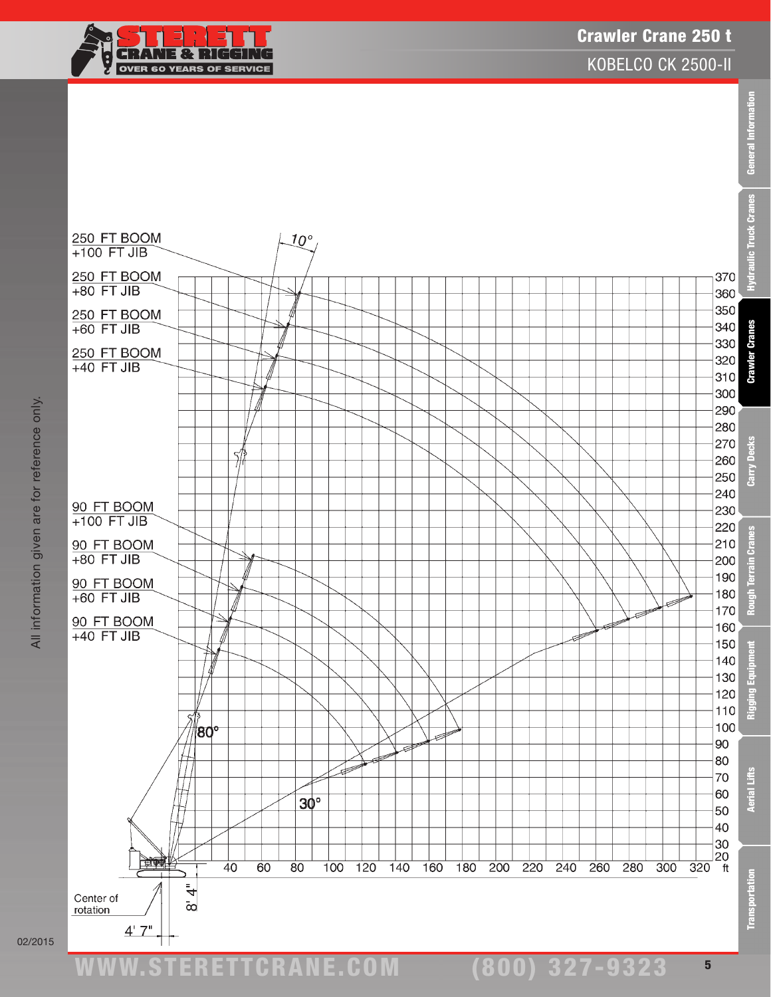

### Crawler Crane 250 t

KOBELCO CK 2500-II

General Information



(800) 327-9323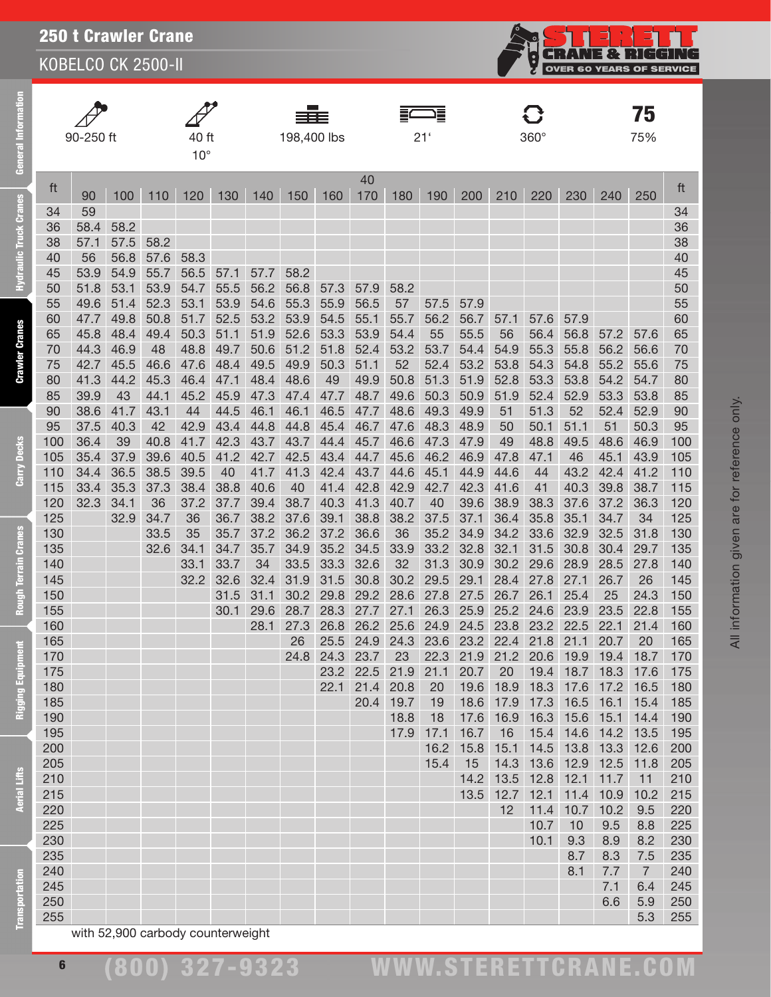KOBELCO CK 2500-II

**General Information** 

**Hydraulic Truck Cranes** 

**Crawler Cranes** 

Carry Decks

**Rough Terrain Cranes** 

Rigging Equipment

**Aerial Lifts** 

|            | 90-250 ft    |              |              | 40 ft<br>$10^{\circ}$             |              |              | 198,400 lbs  |              |              |              | 戸<br>21'     |              |              | $360^\circ$                   |                     |              | 75<br>75%      |            |
|------------|--------------|--------------|--------------|-----------------------------------|--------------|--------------|--------------|--------------|--------------|--------------|--------------|--------------|--------------|-------------------------------|---------------------|--------------|----------------|------------|
| ft         | 90           | 100          | 110          | 120                               | 130          | 140          | 150          | 160          | 40<br>170    | 180          | 190          | 200          | 210          | 220                           | 230                 | 240          | 250            | ft         |
| 34         | 59           |              |              |                                   |              |              |              |              |              |              |              |              |              |                               |                     |              |                | 34         |
| 36         | 58.4         | 58.2         |              |                                   |              |              |              |              |              |              |              |              |              |                               |                     |              |                | 36         |
| 38         | 57.1         | 57.5         | 58.2         |                                   |              |              |              |              |              |              |              |              |              |                               |                     |              |                | 38         |
| 40         | 56           | 56.8         | 57.6         | 58.3                              |              |              |              |              |              |              |              |              |              |                               |                     |              |                | 40         |
| 45         | 53.9         | 54.9         | 55.7         | 56.5                              | 57.1         | 57.7         | 58.2         |              |              |              |              |              |              |                               |                     |              |                | 45         |
| 50         | 51.8         | 53.1         | 53.9         | 54.7                              | 55.5         | 56.2         | 56.8         | 57.3         | 57.9         | 58.2         |              |              |              |                               |                     |              |                | 50         |
| 55         | 49.6         | 51.4         | 52.3         | 53.1                              | 53.9         | 54.6         | 55.3         | 55.9         | 56.5         | 57           | 57.5         | 57.9         |              |                               |                     |              |                | 55         |
| 60         | 47.7         | 49.8         | 50.8         | 51.7                              | 52.5         | 53.2         | 53.9         | 54.5         | 55.1         | 55.7         | 56.2         | 56.7         | 57.1         | 57.6                          | 57.9                |              |                | 60         |
| 65         | 45.8         | 48.4         | 49.4         | 50.3                              | 51.1         | 51.9         | 52.6         | 53.3         | 53.9         | 54.4         | 55           | 55.5         | 56           | 56.4                          | 56.8                | 57.2         | 57.6           | 65         |
| 70         | 44.3<br>42.7 | 46.9<br>45.5 | 48           | 48.8                              | 49.7         | 50.6         | 51.2         | 51.8         | 52.4         | 53.2         | 53.7         | 54.4         | 54.9         | 55.3                          | 55.8                | 56.2         | 56.6           | 70         |
| 75<br>80   | 41.3         | 44.2         | 46.6<br>45.3 | 47.6<br>46.4                      | 48.4<br>47.1 | 49.5<br>48.4 | 49.9<br>48.6 | 50.3<br>49   | 51.1<br>49.9 | 52<br>50.8   | 52.4<br>51.3 | 53.2<br>51.9 | 53.8<br>52.8 | 54.3<br>53.3                  | 54.8<br>53.8        | 55.2<br>54.2 | 55.6<br>54.7   | 75<br>80   |
| 85         | 39.9         | 43           | 44.1         | 45.2                              | 45.9         | 47.3         | 47.4         | 47.7         | 48.7         | 49.6         | 50.3         | 50.9         | 51.9         | 52.4                          | 52.9                | 53.3         | 53.8           | 85         |
| 90         | 38.6         | 41.7         | 43.1         | 44                                | 44.5         | 46.1         | 46.1         | 46.5         | 47.7         | 48.6         | 49.3         | 49.9         | 51           | 51.3                          | 52                  | 52.4         | 52.9           | 90         |
| 95         | 37.5         | 40.3         | 42           | 42.9                              | 43.4         | 44.8         | 44.8         | 45.4         | 46.7         | 47.6         | 48.3         | 48.9         | 50           | 50.1                          | 51.1                | 51           | 50.3           | 95         |
| 100        | 36.4         | 39           | 40.8         | 41.7                              | 42.3         | 43.7         | 43.7         | 44.4         | 45.7         | 46.6         | 47.3         | 47.9         | 49           | 48.8                          | 49.5                | 48.6         | 46.9           | 100        |
| 105        | 35.4         | 37.9         | 39.6         | 40.5                              | 41.2         | 42.7         | 42.5         | 43.4         | 44.7         | 45.6         | 46.2         | 46.9         | 47.8         | 47.1                          | 46                  | 45.1         | 43.9           | 105        |
| 110        | 34.4         | 36.5         | 38.5         | 39.5                              | 40           | 41.7         | 41.3         | 42.4         | 43.7         | 44.6         | 45.1         | 44.9         | 44.6         | 44                            | 43.2                | 42.4         | 41.2           | 110        |
| 115        | 33.4         | 35.3         | 37.3         | 38.4                              | 38.8         | 40.6         | 40           | 41.4         | 42.8         | 42.9         | 42.7         | 42.3         | 41.6         | 41                            | 40.3                | 39.8         | 38.7           | 115        |
| 120        | 32.3         | 34.1         | 36           | 37.2                              | 37.7         | 39.4         | 38.7         | 40.3         | 41.3         | 40.7         | 40           | 39.6         | 38.9         | 38.3                          | 37.6                | 37.2         | 36.3           | 120        |
| 125        |              | 32.9         | 34.7         | 36                                | 36.7         | 38.2         | 37.6         | 39.1         | 38.8         | 38.2         | 37.5         | 37.1         | 36.4         | 35.8                          | 35.1                | 34.7         | 34             | 125        |
| 130        |              |              | 33.5         | 35                                | 35.7         | 37.2         | 36.2         | 37.2         | 36.6         | 36           | 35.2         | 34.9         | 34.2         | 33.6                          | 32.9                | 32.5         | 31.8           | 130        |
| 135        |              |              | 32.6         | 34.1                              | 34.7         | 35.7         | 34.9         | 35.2         | 34.5         | 33.9         | 33.2         | 32.8         | 32.1         | 31.5                          | 30.8                | 30.4         | 29.7           | 135        |
| 140        |              |              |              | 33.1                              | 33.7         | 34           | 33.5         | 33.3         | 32.6         | 32           | 31.3         | 30.9         | 30.2         | 29.6                          | 28.9                | 28.5         | 27.8           | 140        |
| 145        |              |              |              | 32.2                              | 32.6         | 32.4         | 31.9         | 31.5         | 30.8         | 30.2         | 29.5         | 29.1         | 28.4         | 27.8                          | 27.1                | 26.7         | 26             | 145        |
| 150        |              |              |              |                                   | 31.5         | 31.1         | 30.2         | 29.8         | 29.2         | 28.6         | 27.8         | 27.5         | 26.7         | 26.1                          | 25.4                | 25           | 24.3           | 150        |
| 155        |              |              |              |                                   | 30.1         | 29.6         | 28.7         | 28.3         | 27.7         | 27.1         | 26.3         | 25.9         | 25.2         | 24.6                          | 23.9                | 23.5         | 22.8           | 155        |
| 160        |              |              |              |                                   |              | 28.1         | 27.3         | 26.8         | 26.2         | 25.6         | 24.9         | 24.5         | 23.8         | 23.2                          | 22.5                | 22.1         | 21.4           | 160        |
| 165        |              |              |              |                                   |              |              | 26           | 25.5         | 24.9         | 24.3         | 23.6         | 23.2         | 22.4         | 21.8                          | 21.1                | 20.7         | 20             | 165        |
| 170        |              |              |              |                                   |              |              | 24.8         | 24.3         | 23.7         | 23           | 22.3         |              |              | 21.9 21.2 20.6 19.9 19.4 18.7 |                     |              |                | 170        |
| 175<br>180 |              |              |              |                                   |              |              |              | 23.2<br>22.1 | 22.5<br>21.4 | 21.9<br>20.8 | 21.1<br>20   | 20.7         | 20           | 18.3 17.6 17.2                | 19.4 18.7 18.3 17.6 |              | 16.5           | 175<br>180 |
| 185        |              |              |              |                                   |              |              |              |              | 20.4         | 19.7         | 19           | 19.6<br>18.6 | 18.9<br>17.9 | 17.3 16.5 16.1                |                     |              | 15.4           | 185        |
| 190        |              |              |              |                                   |              |              |              |              |              | 18.8         | 18           | 17.6         | 16.9         |                               | 16.3 15.6           | 15.1         | 14.4           | 190        |
| 195        |              |              |              |                                   |              |              |              |              |              | 17.9         | 17.1         | 16.7         | 16           |                               | 15.4 14.6 14.2      |              | 13.5           | 195        |
| 200        |              |              |              |                                   |              |              |              |              |              |              | 16.2         | 15.8         | 15.1         | 14.5 13.8 13.3                |                     |              | 12.6           | 200        |
| 205        |              |              |              |                                   |              |              |              |              |              |              | 15.4         | 15           |              | 14.3 13.6 12.9 12.5           |                     |              | 11.8           | 205        |
| 210        |              |              |              |                                   |              |              |              |              |              |              |              | 14.2         |              | 13.5 12.8 12.1 11.7           |                     |              | 11             | 210        |
| 215        |              |              |              |                                   |              |              |              |              |              |              |              | 13.5         |              | 12.7 12.1 11.4 10.9           |                     |              | 10.2           | 215        |
| 220        |              |              |              |                                   |              |              |              |              |              |              |              |              | 12           | 11.4                          | 10.7                | 10.2         | 9.5            | 220        |
| 225        |              |              |              |                                   |              |              |              |              |              |              |              |              |              | 10.7                          | 10                  | 9.5          | 8.8            | 225        |
| 230        |              |              |              |                                   |              |              |              |              |              |              |              |              |              | 10.1                          | 9.3                 | 8.9          | 8.2            | 230        |
| 235        |              |              |              |                                   |              |              |              |              |              |              |              |              |              |                               | 8.7                 | 8.3          | 7.5            | 235        |
| 240        |              |              |              |                                   |              |              |              |              |              |              |              |              |              |                               | 8.1                 | 7.7          | $\overline{7}$ | 240        |
| 245        |              |              |              |                                   |              |              |              |              |              |              |              |              |              |                               |                     | 7.1          | 6.4            | 245        |
| 250        |              |              |              |                                   |              |              |              |              |              |              |              |              |              |                               |                     | 6.6          | 5.9            | 250        |
| 255        |              |              |              |                                   |              |              |              |              |              |              |              |              |              |                               |                     |              | 5.3            | 255        |
|            |              |              |              | with 52,900 carbody counterweight |              |              |              |              |              |              |              |              |              |                               |                     |              |                |            |

⊐

Ç

**CRANE & RIGGING**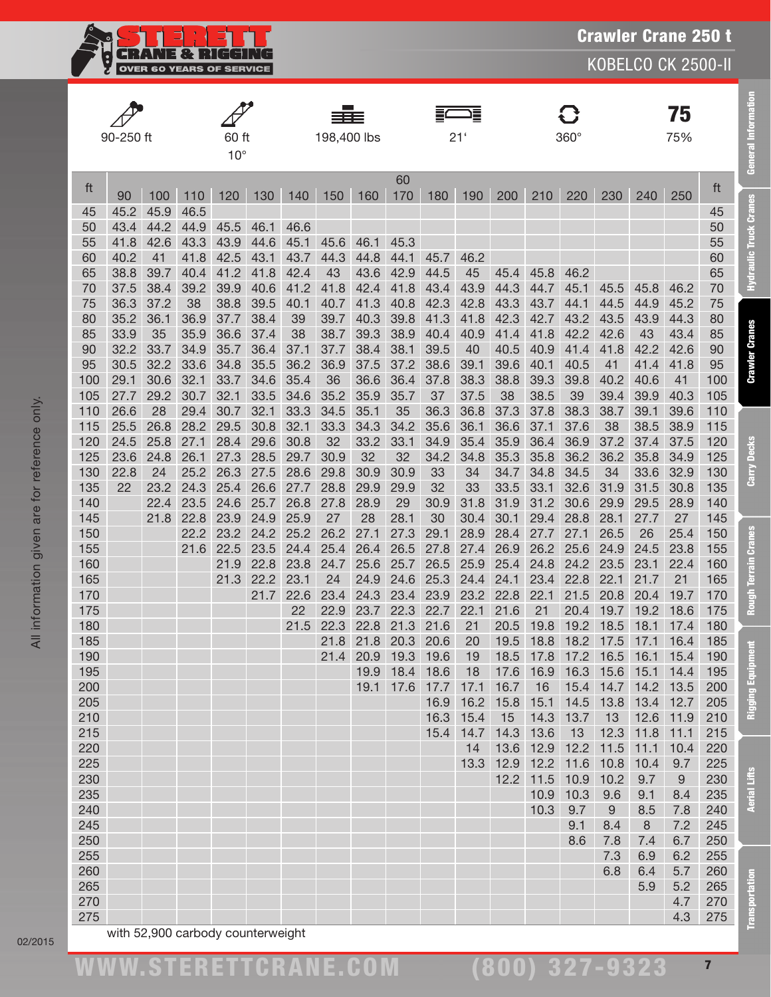

|            |              |              |              |              |              |              |             |              |              |              | 這               |              |              |                          |              |              | 75               |            |
|------------|--------------|--------------|--------------|--------------|--------------|--------------|-------------|--------------|--------------|--------------|-----------------|--------------|--------------|--------------------------|--------------|--------------|------------------|------------|
|            | 90-250 ft    |              |              | 60 ft        |              |              | 198,400 lbs |              |              |              | 21 <sup>′</sup> |              |              | $360^\circ$              |              |              | 75%              |            |
|            |              |              |              | $10^{\circ}$ |              |              |             |              |              |              |                 |              |              |                          |              |              |                  |            |
|            |              |              |              |              |              |              |             |              | 60           |              |                 |              |              |                          |              |              |                  |            |
| ft         | 90           | 100          | 110          | 120          | 130          | 140          | 150         | 160          | 170          | 180          | 190             | 200          | 210          | 220                      | 230          | 240          | 250              | ft         |
| 45         | 45.2         | 45.9         | 46.5         |              |              |              |             |              |              |              |                 |              |              |                          |              |              |                  | 45         |
| 50         | 43.4         | 44.2         | 44.9         | 45.5         | 46.1         | 46.6         |             |              |              |              |                 |              |              |                          |              |              |                  | 50         |
| 55         | 41.8         | 42.6         | 43.3         | 43.9         | 44.6         | 45.1         | 45.6        | 46.1         | 45.3         |              |                 |              |              |                          |              |              |                  | 55         |
| 60<br>65   | 40.2<br>38.8 | 41<br>39.7   | 41.8<br>40.4 | 42.5<br>41.2 | 43.1<br>41.8 | 43.7<br>42.4 | 44.3<br>43  | 44.8<br>43.6 | 44.1<br>42.9 | 45.7<br>44.5 | 46.2<br>45      | 45.4         | 45.8         | 46.2                     |              |              |                  | 60<br>65   |
| 70         | 37.5         | 38.4         | 39.2         | 39.9         | 40.6         | 41.2         | 41.8        | 42.4         | 41.8         | 43.4         | 43.9            | 44.3         | 44.7         | 45.1                     | 45.5         | 45.8         | 46.2             | 70         |
| 75         | 36.3         | 37.2         | 38           | 38.8         | 39.5         | 40.1         | 40.7        | 41.3         | 40.8         | 42.3         | 42.8            | 43.3         | 43.7         | 44.1                     | 44.5         | 44.9         | 45.2             | 75         |
| 80         | 35.2         | 36.1         | 36.9         | 37.7         | 38.4         | 39           | 39.7        | 40.3         | 39.8         | 41.3         | 41.8            | 42.3         | 42.7         | 43.2                     | 43.5         | 43.9         | 44.3             | 80         |
| 85         | 33.9         | 35           | 35.9         | 36.6         | 37.4         | 38           | 38.7        | 39.3         | 38.9         | 40.4         | 40.9            | 41.4         | 41.8         | 42.2                     | 42.6         | 43           | 43.4             | 85         |
| 90         | 32.2         | 33.7         | 34.9         | 35.7         | 36.4         | 37.1         | 37.7        | 38.4         | 38.1         | 39.5         | 40              | 40.5         | 40.9         | 41.4                     | 41.8         | 42.2         | 42.6             | 90         |
| 95         | 30.5         | 32.2         | 33.6         | 34.8         | 35.5         | 36.2         | 36.9        | 37.5         | 37.2         | 38.6         | 39.1            | 39.6         | 40.1         | 40.5                     | 41           | 41.4         | 41.8             | 95         |
| 100        | 29.1         | 30.6         | 32.1         | 33.7         | 34.6         | 35.4         | 36          | 36.6         | 36.4         | 37.8         | 38.3            | 38.8         | 39.3         | 39.8                     | 40.2         | 40.6         | 41               | 100        |
| 105        | 27.7         | 29.2         | 30.7         | 32.1         | 33.5         | 34.6         | 35.2        | 35.9         | 35.7         | 37           | 37.5            | 38           | 38.5         | 39                       | 39.4         | 39.9         | 40.3             | 105        |
| 110        | 26.6         | 28           | 29.4         | 30.7         | 32.1         | 33.3         | 34.5        | 35.1         | 35           | 36.3         | 36.8            | 37.3<br>36.6 | 37.8         | 38.3                     | 38.7         | 39.1         | 39.6<br>38.9     | 110        |
| 115<br>120 | 25.5<br>24.5 | 26.8<br>25.8 | 28.2<br>27.1 | 29.5<br>28.4 | 30.8<br>29.6 | 32.1<br>30.8 | 33.3<br>32  | 34.3<br>33.2 | 34.2<br>33.1 | 35.6<br>34.9 | 36.1<br>35.4    | 35.9         | 37.1<br>36.4 | 37.6<br>36.9             | 38<br>37.2   | 38.5<br>37.4 | 37.5             | 115<br>120 |
| 125        | 23.6         | 24.8         | 26.1         | 27.3         | 28.5         | 29.7         | 30.9        | 32           | 32           | 34.2         | 34.8            | 35.3         | 35.8         | 36.2                     | 36.2         | 35.8         | 34.9             | 125        |
| 130        | 22.8         | 24           | 25.2         | 26.3         | 27.5         | 28.6         | 29.8        | 30.9         | 30.9         | 33           | 34              | 34.7         | 34.8         | 34.5                     | 34           | 33.6         | 32.9             | 130        |
| 135        | 22           | 23.2         | 24.3         | 25.4         | 26.6         | 27.7         | 28.8        | 29.9         | 29.9         | 32           | 33              | 33.5         | 33.1         | 32.6                     | 31.9         | 31.5         | 30.8             | 135        |
| 140        |              | 22.4         | 23.5         | 24.6         | 25.7         | 26.8         | 27.8        | 28.9         | 29           | 30.9         | 31.8            | 31.9         | 31.2         | 30.6                     | 29.9         | 29.5         | 28.9             | 140        |
| 145        |              | 21.8         | 22.8         | 23.9         | 24.9         | 25.9         | 27          | 28           | 28.1         | 30           | 30.4            | 30.1         | 29.4         | 28.8                     | 28.1         | 27.7         | 27               | 145        |
| 150        |              |              | 22.2         | 23.2         | 24.2         | 25.2         | 26.2        | 27.1         | 27.3         | 29.1         | 28.9            | 28.4         | 27.7         | 27.1                     | 26.5         | 26           | 25.4             | 150        |
| 155        |              |              | 21.6         | 22.5         | 23.5         | 24.4         | 25.4        | 26.4         | 26.5         | 27.8         | 27.4            | 26.9         | 26.2         | 25.6                     | 24.9         | 24.5         | 23.8             | 155        |
| 160        |              |              |              | 21.9         | 22.8         | 23.8         | 24.7        | 25.6         | 25.7         | 26.5         | 25.9            | 25.4         | 24.8         | 24.2                     | 23.5         | 23.1         | 22.4             | 160        |
| 165        |              |              |              | 21.3         | 22.2         | 23.1<br>22.6 | 24<br>23.4  | 24.9         | 24.6         | 25.3         | 24.4            | 24.1         | 23.4         | 22.8                     | 22.1         | 21.7         | 21               | 165        |
| 170<br>175 |              |              |              |              | 21.7         | 22           | 22.9        | 24.3<br>23.7 | 23.4<br>22.3 | 23.9<br>22.7 | 23.2<br>22.1    | 22.8<br>21.6 | 22.1<br>21   | 21.5<br>20.4             | 20.8<br>19.7 | 20.4<br>19.2 | 19.7<br>18.6     | 170<br>175 |
| 180        |              |              |              |              |              | 21.5         | 22.3        | 22.8         | 21.3         | 21.6         | 21              | 20.5         | 19.8         | 19.2                     | 18.5         | 18.1         | 17.4             | 180        |
| 185        |              |              |              |              |              |              | 21.8        | 21.8         | 20.3         | 20.6         | 20              | 19.5         | 18.8         | 18.2                     | 17.5         | 17.1         | 16.4             | 185        |
| 190        |              |              |              |              |              |              | 21.4        | 20.9         | 19.3         | 19.6         | 19              |              |              | 18.5 17.8 17.2 16.5 16.1 |              |              | 15.4             | 190        |
| 195        |              |              |              |              |              |              |             | 19.9         | 18.4         | 18.6         | 18              | 17.6         | 16.9         | 16.3 15.6                |              | 15.1         | 14.4             | 195        |
| 200        |              |              |              |              |              |              |             | 19.1         | 17.6         | 17.7         | 17.1            | 16.7         | 16           |                          | 15.4 14.7    | 14.2         | 13.5             | 200        |
| 205        |              |              |              |              |              |              |             |              |              | 16.9         | 16.2            | 15.8         | 15.1         | 14.5 13.8                |              | 13.4         | 12.7             | 205        |
| 210        |              |              |              |              |              |              |             |              |              | 16.3         | 15.4            | 15           | 14.3         | 13.7                     | 13           | 12.6         | 11.9             | 210        |
| 215        |              |              |              |              |              |              |             |              |              | 15.4         | 14.7            | 14.3         | 13.6         | 13                       | 12.3         | 11.8         | 11.1             | 215        |
| 220<br>225 |              |              |              |              |              |              |             |              |              |              | 14<br>13.3      | 13.6<br>12.9 | 12.9         | 12.2 11.5<br>12.2 11.6   | 10.8         | 11.1<br>10.4 | 10.4<br>9.7      | 220<br>225 |
| 230        |              |              |              |              |              |              |             |              |              |              |                 | 12.2         |              | 11.5 10.9                | 10.2         | 9.7          | $\boldsymbol{9}$ | 230        |
| 235        |              |              |              |              |              |              |             |              |              |              |                 |              | 10.9         | 10.3                     | 9.6          | 9.1          | 8.4              | 235        |
| 240        |              |              |              |              |              |              |             |              |              |              |                 |              | 10.3         | 9.7                      | 9            | 8.5          | 7.8              | 240        |
| 245        |              |              |              |              |              |              |             |              |              |              |                 |              |              | 9.1                      | 8.4          | 8            | 7.2              | 245        |
| 250        |              |              |              |              |              |              |             |              |              |              |                 |              |              | 8.6                      | 7.8          | 7.4          | 6.7              | 250        |
| 255        |              |              |              |              |              |              |             |              |              |              |                 |              |              |                          | 7.3          | 6.9          | 6.2              | 255        |
| 260        |              |              |              |              |              |              |             |              |              |              |                 |              |              |                          | 6.8          | 6.4          | 5.7              | 260        |
| 265        |              |              |              |              |              |              |             |              |              |              |                 |              |              |                          |              | 5.9          | 5.2              | 265        |
| 270<br>275 |              |              |              |              |              |              |             |              |              |              |                 |              |              |                          |              |              | 4.7<br>4.3       | 270<br>275 |
|            |              |              |              |              |              |              |             |              |              |              |                 |              |              |                          |              |              |                  |            |

All information given are for reference only.

All information given are for reference only.

(800) 327-9323

Transportation Aerial Lifts Rigging Equipment Rough Terrain Cranes Carry Decks Crawler Cranes Hydraulic Truck Cranes General Information

**Rough Terrain Cranes** 

**Rigging Equipment** 

**Aerial Lifts** 

**Transportation** 

Carry Decks

**General Information** 

**Hydraulic Truck Cranes**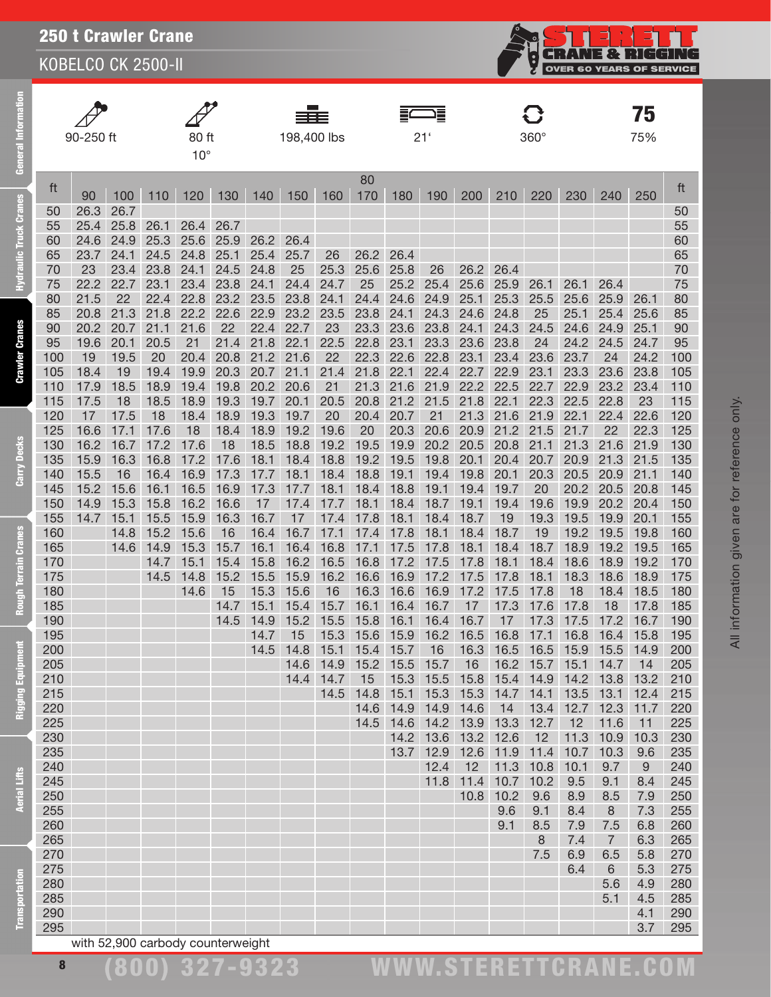KOBELCO CK 2500-II



| Information<br>General I      |            | 90-250 ft    |              |              | 80 ft<br>$10^{\circ}$ |              |              | 198,400 lbs  |              |                          |              | 21'          |                                          |                   | $360^\circ$  |                     |                       | 75<br>75%    |            |
|-------------------------------|------------|--------------|--------------|--------------|-----------------------|--------------|--------------|--------------|--------------|--------------------------|--------------|--------------|------------------------------------------|-------------------|--------------|---------------------|-----------------------|--------------|------------|
|                               | ft         | 90           | 100          | 110          | 120                   | 130          | 140          | 150          | 160          | 80<br>170                | 180          | 190          | 200                                      | 210               | 220          | 230                 | 240                   | 250          | ft         |
| <b>Hydraulic Truck Cranes</b> | 50         | 26.3         | 26.7         |              |                       |              |              |              |              |                          |              |              |                                          |                   |              |                     |                       |              | 50         |
|                               | 55         | 25.4         | 25.8         | 26.1         | 26.4                  | 26.7         |              |              |              |                          |              |              |                                          |                   |              |                     |                       |              | 55         |
|                               | 60         | 24.6         | 24.9         | 25.3         | 25.6                  | 25.9         | 26.2         | 26.4         |              |                          |              |              |                                          |                   |              |                     |                       |              | 60         |
|                               | 65<br>70   | 23.7<br>23   | 24.1<br>23.4 | 24.5<br>23.8 | 24.8<br>24.1          | 25.1<br>24.5 | 25.4<br>24.8 | 25.7<br>25   | 26<br>25.3   | 26.2<br>25.6             | 26.4<br>25.8 | 26           | 26.2                                     | 26.4              |              |                     |                       |              | 65<br>70   |
|                               | 75         | 22.2         | 22.7         | 23.1         | 23.4                  | 23.8         | 24.1         | 24.4         | 24.7         | 25                       | 25.2         | 25.4         |                                          | 25.6 25.9         | 26.1         | 26.1                | 26.4                  |              | 75         |
|                               | 80         | 21.5         | 22           | 22.4         | 22.8                  | 23.2         | 23.5         | 23.8         | 24.1         | 24.4                     | 24.6         | 24.9         | 25.1                                     | 25.3              | 25.5         | 25.6                | 25.9                  | 26.1         | 80         |
|                               | 85         | 20.8         | 21.3         | 21.8         | 22.2                  | 22.6         | 22.9         | 23.2         | 23.5         | 23.8                     | 24.1         | 24.3         | 24.6                                     | 24.8              | 25           | 25.1                | 25.4                  | 25.6         | 85         |
|                               | 90         | 20.2         | 20.7         | 21.1         | 21.6                  | 22           | 22.4         | 22.7         | 23           | 23.3                     | 23.6         | 23.8         | 24.1                                     | 24.3              | 24.5         | 24.6                | 24.9                  | 25.1         | 90         |
| <b>Crawler Cranes</b>         | 95         | 19.6         | 20.1         | 20.5         | 21                    | 21.4         | 21.8         | 22.1         | 22.5         | 22.8                     | 23.1         | 23.3         | 23.6                                     | 23.8              | 24           | 24.2                | 24.5                  | 24.7         | 95         |
|                               | 100        | 19           | 19.5         | 20           | 20.4                  | 20.8         | 21.2         | 21.6         | 22           | 22.3                     | 22.6         | 22.8         | 23.1                                     | 23.4              | 23.6         | 23.7                | 24                    | 24.2         | 100        |
|                               | 105        | 18.4         | 19           | 19.4         | 19.9                  | 20.3         | 20.7         | 21.1         | 21.4         | 21.8                     | 22.1         | 22.4         | 22.7                                     | 22.9              | 23.1         | 23.3                | 23.6                  | 23.8         | 105        |
|                               | 110        | 17.9         | 18.5         | 18.9         | 19.4                  | 19.8         | 20.2         | 20.6         | 21           | 21.3                     | 21.6         | 21.9         | 22.2 22.5                                |                   | 22.7         | 22.9                | 23.2                  | 23.4         | 110        |
|                               | 115        | 17.5         | 18           | 18.5         | 18.9                  | 19.3         | 19.7         | 20.1         | 20.5         | 20.8                     | 21.2         | 21.5         | 21.8 22.1                                |                   | 22.3         | 22.5                | 22.8                  | 23           | 115        |
|                               | 120        | 17           | 17.5         | 18           | 18.4                  | 18.9         | 19.3         | 19.7         | 20           | 20.4                     | 20.7         | 21           |                                          | 21.3 21.6         | 21.9         | 22.1                | 22.4                  | 22.6         | 120        |
|                               | 125        | 16.6         | 17.1         | 17.6         | 18                    | 18.4         | 18.9         | 19.2         | 19.6         | 20                       | 20.3         | 20.6         | 20.9                                     | 21.2              | 21.5         | 21.7                | 22                    | 22.3         | 125        |
| Carry Decks                   | 130<br>135 | 16.2<br>15.9 | 16.7<br>16.3 | 17.2<br>16.8 | 17.6<br>17.2          | 18<br>17.6   | 18.5<br>18.1 | 18.8<br>18.4 | 19.2<br>18.8 | 19.5<br>19.2             | 19.9<br>19.5 | 20.2<br>19.8 | 20.5<br>20.1                             | 20.8<br>20.4      | 21.1<br>20.7 | 21.3<br>20.9        | 21.6<br>21.3          | 21.9<br>21.5 | 130<br>135 |
|                               | 140        | 15.5         | 16           | 16.4         | 16.9                  | 17.3         | 17.7         | 18.1         | 18.4         | 18.8                     | 19.1         | 19.4         | 19.8                                     | 20.1              | 20.3         | 20.5                | 20.9                  | 21.1         | 140        |
|                               | 145        | 15.2         | 15.6         | 16.1         | 16.5                  | 16.9         | 17.3         | 17.7         | 18.1         | 18.4                     | 18.8         | 19.1         | 19.4                                     | 19.7              | 20           | 20.2                | 20.5                  | 20.8         | 145        |
|                               | 150        | 14.9         | 15.3         | 15.8         | 16.2                  | 16.6         | 17           | 17.4         | 17.7         | 18.1                     | 18.4         | 18.7         | 19.1                                     | 19.4              | 19.6         | 19.9                | 20.2                  | 20.4         | 150        |
|                               | 155        | 14.7         | 15.1         | 15.5         | 15.9                  | 16.3         | 16.7         | 17           | 17.4         | 17.8                     | 18.1         | 18.4         | 18.7                                     | 19                | 19.3         | 19.5                | 19.9                  | 20.1         | 155        |
|                               | 160        |              | 14.8         | 15.2         | 15.6                  | 16           | 16.4         | 16.7         | 17.1         | 17.4                     | 17.8         | 18.1         | 18.4                                     | 18.7              | 19           | 19.2                | 19.5                  | 19.8         | 160        |
|                               | 165        |              | 14.6         | 14.9         | 15.3                  | 15.7         | 16.1         | 16.4         | 16.8         | 17.1                     | 17.5         | 17.8         | 18.1                                     | 18.4              | 18.7         | 18.9                | 19.2                  | 19.5         | 165        |
|                               | 170        |              |              | 14.7         | 15.1                  | 15.4         | 15.8         | 16.2         | 16.5         | 16.8                     | 17.2         | 17.5         | 17.8                                     | 18.1              | 18.4         | 18.6                | 18.9                  | 19.2         | 170        |
| Rough Terrain Cranes          | 175        |              |              | 14.5         | 14.8                  | 15.2         | 15.5         | 15.9         | 16.2         | 16.6                     | 16.9         | 17.2         | 17.5                                     | 17.8              | 18.1         | 18.3                | 18.6                  | 18.9         | 175        |
|                               | 180        |              |              |              | 14.6                  | 15           | 15.3         | 15.6         | 16           | 16.3                     | 16.6         | 16.9         | 17.2                                     | 17.5              | 17.8         | 18                  | 18.4                  | 18.5         | 180        |
|                               | 185        |              |              |              |                       | 14.7         | 15.1         | 15.4         | 15.7         | 16.1                     | 16.4         | 16.7         | 17                                       | 17.3              | 17.6         | 17.8                | 18                    | 17.8         | 185        |
|                               | 190        |              |              |              |                       | 14.5         | 14.9         | 15.2<br>15   | 15.5         | 15.8                     | 16.1         | 16.4         | 16.7                                     | 17<br>16.8        | 17.3         | 17.5                | 17.2                  | 16.7         | 190        |
| $\ddot{a}$                    | 195<br>200 |              |              |              |                       |              | 14.7         | 14.5 14.8    | 15.3         | 15.6<br>15.1 15.4 15.7   | 15.9         | 16.2         | 16.5<br>16 16.3 16.5 16.5 15.9 15.5 14.9 |                   | 17.1         | 16.8                | 16.4                  | 15.8         | 195<br>200 |
|                               | 205        |              |              |              |                       |              |              |              |              | 14.6 14.9 15.2 15.5 15.7 |              |              | 16                                       |                   |              | 16.2 15.7 15.1 14.7 |                       | 14           | 205        |
|                               | 210        |              |              |              |                       |              |              | 14.4         | 14.7         | 15                       | 15.3         |              | 15.5 15.8 15.4 14.9 14.2 13.8            |                   |              |                     |                       | 13.2         | 210        |
| Rigging Equipm                | 215        |              |              |              |                       |              |              |              |              | 14.5 14.8                | 15.1         |              | 15.3 15.3 14.7                           |                   |              | 14.1 13.5 13.1      |                       | 12.4         | 215        |
|                               | 220        |              |              |              |                       |              |              |              |              | 14.6                     | 14.9         |              | 14.9 14.6                                | 14                |              | 13.4 12.7 12.3      |                       | 11.7         | 220        |
|                               | 225        |              |              |              |                       |              |              |              |              | 14.5                     |              |              | 14.6 14.2 13.9 13.3                      |                   | 12.7         | 12                  | 11.6                  | 11           | 225        |
|                               | 230        |              |              |              |                       |              |              |              |              |                          |              |              | 14.2 13.6 13.2 12.6                      |                   | 12           | $11.3$ 10.9         |                       | 10.3         | 230        |
|                               | 235        |              |              |              |                       |              |              |              |              |                          |              |              | 13.7 12.9 12.6 11.9 11.4 10.7            |                   |              |                     | 10.3                  | 9.6          | 235        |
|                               | 240        |              |              |              |                       |              |              |              |              |                          |              | 12.4         |                                          | 12 11.3 10.8 10.1 |              |                     | 9.7                   | 9            | 240        |
| <b>Aerial Lifts</b>           | 245        |              |              |              |                       |              |              |              |              |                          |              | 11.8         | 11.4                                     | 10.7              | 10.2         | 9.5                 | 9.1                   | 8.4          | 245        |
|                               | 250        |              |              |              |                       |              |              |              |              |                          |              |              | 10.8                                     | 10.2              | 9.6          | 8.9                 | 8.5                   | 7.9          | 250        |
|                               | 255        |              |              |              |                       |              |              |              |              |                          |              |              |                                          | 9.6               | 9.1          | 8.4                 | $\,8\,$               | 7.3          | 255        |
|                               | 260<br>265 |              |              |              |                       |              |              |              |              |                          |              |              |                                          | 9.1               | 8.5<br>8     | 7.9<br>7.4          | 7.5<br>$\overline{7}$ | 6.8<br>6.3   | 260<br>265 |
|                               | 270        |              |              |              |                       |              |              |              |              |                          |              |              |                                          |                   | 7.5          | 6.9                 | 6.5                   | 5.8          | 270        |
|                               | 275        |              |              |              |                       |              |              |              |              |                          |              |              |                                          |                   |              | 6.4                 | $6\phantom{1}6$       | 5.3          | 275        |
|                               | 280        |              |              |              |                       |              |              |              |              |                          |              |              |                                          |                   |              |                     | 5.6                   | 4.9          | 280        |
|                               | 285        |              |              |              |                       |              |              |              |              |                          |              |              |                                          |                   |              |                     | 5.1                   | 4.5          | 285        |
| <b>Transportation</b>         | 290        |              |              |              |                       |              |              |              |              |                          |              |              |                                          |                   |              |                     |                       | 4.1          | 290        |
|                               | 295        |              |              |              |                       |              |              |              |              |                          |              |              |                                          |                   |              |                     |                       | 3.7          | 295        |

with 52,900 carbody counterweight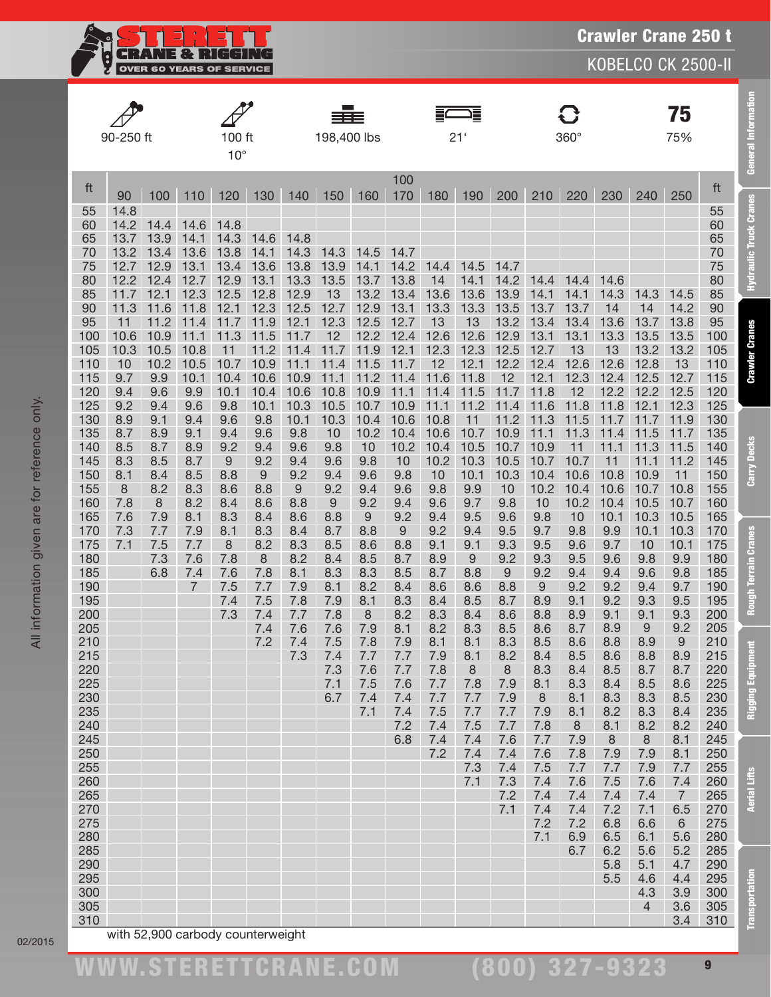

|            | 90-250 ft    |              |                | 100 ft       |              |              | 198,400 lbs  |              |              |              | Ē<br>21'     |              |              | $360^\circ$      |              |                | 75<br>75%             |            |
|------------|--------------|--------------|----------------|--------------|--------------|--------------|--------------|--------------|--------------|--------------|--------------|--------------|--------------|------------------|--------------|----------------|-----------------------|------------|
|            |              |              |                | $10^{\circ}$ |              |              |              |              |              |              |              |              |              |                  |              |                |                       |            |
| ft         | 90           | 100          | 110            | 120          | 130          | 140          | 150          | 160          | 100<br>170   | 180          | 190          | 200          | 210          | 220              | 230          | 240            | 250                   | ft         |
| 55         | 14.8         |              |                |              |              |              |              |              |              |              |              |              |              |                  |              |                |                       | 55         |
| 60<br>65   | 14.2<br>13.7 | 14.4<br>13.9 | 14.6<br>14.1   | 14.8<br>14.3 | 14.6         | 14.8         |              |              |              |              |              |              |              |                  |              |                |                       | 60<br>65   |
| 70         | 13.2         | 13.4         | 13.6           | 13.8         | 14.1         | 14.3         | 14.3         | 14.5         | 14.7         |              |              |              |              |                  |              |                |                       | 70         |
| 75         | 12.7         | 12.9         | 13.1           | 13.4         | 13.6         | 13.8         | 13.9         | 14.1         | 14.2         | 14.4         | 14.5         | 14.7         |              |                  |              |                |                       | 75         |
| 80         | 12.2         | 12.4         | 12.7           | 12.9         | 13.1         | 13.3         | 13.5         | 13.7         | 13.8         | 14           | 14.1         | 14.2         | 14.4         | 14.4             | 14.6         |                |                       | 80         |
| 85<br>90   | 11.7<br>11.3 | 12.1<br>11.6 | 12.3<br>11.8   | 12.5<br>12.1 | 12.8<br>12.3 | 12.9<br>12.5 | 13<br>12.7   | 13.2<br>12.9 | 13.4<br>13.1 | 13.6<br>13.3 | 13.6<br>13.3 | 13.9<br>13.5 | 14.1<br>13.7 | 14.1<br>13.7     | 14.3<br>14   | 14.3<br>14     | 14.5<br>14.2          | 85<br>90   |
| 95         | 11           | 11.2         | 11.4           | 11.7         | 11.9         | 12.1         | 12.3         | 12.5         | 12.7         | 13           | 13           | 13.2         | 13.4         | 13.4             | 13.6         | 13.7           | 13.8                  | 95         |
| 100        | 10.6         | 10.9         | 11.1           | 11.3         | 11.5         | 11.7         | 12           | 12.2         | 12.4         | 12.6         | 12.6         | 12.9         | 13.1         | 13.1             | 13.3         | 13.5           | 13.5                  | 100        |
| 105        | 10.3         | 10.5         | 10.8           | 11           | 11<br>.2     | 11.4         | 11.7         | 11.9         | 12.1         | 12.3         | 12.3         | 12.5         | 12.7         | 13               | 13           | 13.2           | 13.2                  | 105        |
| 110        | 10           | 10.2         | 10.5           | 10.7         | 10.9         | 11.1         | 11.4         | 11.5         | 11.7         | 12           | 12.1         | 12.2         | 12.4         | 12.6             | 12.6         | 12.8           | 13                    | 110        |
| 115<br>120 | 9.7<br>9.4   | 9.9<br>9.6   | 10.1<br>9.9    | 10.4<br>10.1 | 10.6<br>10.4 | 10.9<br>10.6 | 11.1<br>10.8 | 11.2<br>10.9 | 11.4<br>11.1 | 11.6<br>11.4 | 11.8<br>11.5 | 12<br>11.7   | 12.1<br>11.8 | 12.3<br>12       | 12.4<br>12.2 | 12.5<br>12.2   | 12.7<br>12.5          | 115<br>120 |
| 125        | 9.2          | 9.4          | 9.6            | 9.8          | 10.1         | 10.3         | 10.5         | 10.7         | 10.9         | 11.1         | 11.2         | 11.4         | 11.6         | 11.8             | 11.8         | 12.1           | 12.3                  | 125        |
| 130        | 8.9          | 9.1          | 9.4            | 9.6          | 9.8          | 10.1         | 10.3         | 10.4         | 10.6         | 10.8         | 11           | 11.2         | 11.3         | 11.5             | 11.7         | 11.7           | 11.9                  | 130        |
| 135        | 8.7          | 8.9          | 9.1            | 9.4          | 9.6          | 9.8          | 10           | 10.2         | 10.4         | 10.6         | 10.7         | 10.9         | 11.1         | 11.3             | 11.4         | 11.5           | 11.7                  | 135        |
| 140        | 8.5          | 8.7          | 8.9            | 9.2          | 9.4          | 9.6          | 9.8          | 10           | 10.2         | 10.4         | 10.5         | 10.7         | 10.9         | 11               | 11.1         | 11.3           | 11.5                  | 140        |
| 145<br>150 | 8.3<br>8.1   | 8.5<br>8.4   | 8.7<br>8.5     | 9<br>8.8     | 9.2<br>$9\,$ | 9.4<br>9.2   | 9.6<br>9.4   | 9.8<br>9.6   | 10<br>9.8    | 10.2<br>10   | 10.3<br>10.1 | 10.5<br>10.3 | 10.7<br>10.4 | 10.7<br>10.6     | 11<br>10.8   | 11.1<br>10.9   | 11.2<br>11            | 145<br>150 |
| 155        | 8            | 8.2          | 8.3            | 8.6          | 8.8          | 9            | 9.2          | 9.4          | 9.6          | 9.8          | 9.9          | 10           | 10.2         | 10.4             | 10.6         | 10.7           | 10.8                  | 155        |
| 160        | 7.8          | 8            | 8.2            | 8.4          | 8.6          | 8.8          | 9            | 9.2          | 9.4          | 9.6          | 9.7          | 9.8          | 10           | 10.2             | 10.4         | 10.5           | 10.7                  | 160        |
| 165        | 7.6          | 7.9          | 8.1            | 8.3          | 8.4          | 8.6          | 8.8          | $9\,$        | 9.2          | 9.4          | 9.5          | 9.6          | 9.8          | 10               | 10.1         | 10.3           | 10.5                  | 165        |
| 170        | 7.3          | 7.7          | 7.9            | 8.1          | 8.3          | 8.4          | 8.7          | 8.8          | 9            | 9.2          | 9.4          | 9.5          | 9.7          | 9.8              | 9.9          | 10.1           | 10.3                  | 170        |
| 175<br>180 | 7.1          | 7.5<br>7.3   | 7.7<br>7.6     | 8<br>7.8     | 8.2<br>8     | 8.3<br>8.2   | 8.5<br>8.4   | 8.6<br>8.5   | 8.8<br>8.7   | 9.1<br>8.9   | 9.1<br>9     | 9.3<br>9.2   | 9.5<br>9.3   | 9.6<br>9.5       | 9.7<br>9.6   | 10<br>9.8      | 10.1<br>9.9           | 175<br>180 |
| 185        |              | 6.8          | 7.4            | 7.6          | 7.8          | 8.1          | 8.3          | 8.3          | 8.5          | 8.7          | 8.8          | 9            | 9.2          | 9.4              | 9.4          | 9.6            | 9.8                   | 185        |
| 190        |              |              | $\overline{7}$ | 7.5          | 7.7          | 7.9          | 8.1          | 8.2          | 8.4          | 8.6          | 8.6          | 8.8          | 9            | 9.2              | 9.2          | 9.4            | 9.7                   | 190        |
| 195        |              |              |                | 7.4          | 7.5          | 7.8          | 7.9          | 8.1          | 8.3          | 8.4          | 8.5          | 8.7          | 8.9          | 9.1              | 9.2          | 9.3            | 9.5                   | 195        |
| 200        |              |              |                | 7.3          | 7.4<br>7.4   | 7.7<br>7.6   | 7.8<br>7.6   | 8<br>7.9     | 8.2<br>8.1   | 8.3<br>8.2   | 8.4<br>8.3   | 8.6<br>8.5   | 8.8<br>8.6   | 8.9<br>8.7       | 9.1<br>8.9   | 9.1<br>9       | 9.3<br>9.2            | 200<br>205 |
| 205<br>210 |              |              |                |              | 7.2          | 7.4          | 7.5          | 7.8          | 7.9          | 8.1          | 8.1          | 8.3          | 8.5          | 8.6              | 8.8          | 8.9            | 9                     | 210        |
| 215        |              |              |                |              |              | 7.3          | 7.4          | 7.7          | 7.7          | 7.9          | 8.1          | 8.2          | 8.4          | 8.5              | 8.6          | 8.8            | 8.9                   | 215        |
| 220        |              |              |                |              |              |              | 7.3          | 7.6          | 7.7          | 7.8          | $\,8\,$      | $\,8\,$      | 8.3          | 8.4              | 8.5          | 8.7            | 8.7                   | 220        |
| 225        |              |              |                |              |              |              | 7.1          | 7.5          | 7.6          | 7.7          | 7.8          | 7.9          | 8.1          | 8.3              | 8.4          | 8.5            | 8.6                   | 225        |
| 230<br>235 |              |              |                |              |              |              | 6.7          | 7.4<br>7.1   | 7.4<br>7.4   | 7.7<br>7.5   | 7.7<br>7.7   | 7.9<br>7.7   | 8<br>7.9     | 8.1<br>8.1       | 8.3<br>8.2   | 8.3<br>8.3     | 8.5<br>8.4            | 230<br>235 |
| 240        |              |              |                |              |              |              |              |              | 7.2          | 7.4          | 7.5          | 7.7          | 7.8          | $\boldsymbol{8}$ | 8.1          | 8.2            | 8.2                   | 240        |
| 245        |              |              |                |              |              |              |              |              | 6.8          | 7.4          | 7.4          | 7.6          | 7.7          | 7.9              | $\,8\,$      | 8              | 8.1                   | 245        |
| 250        |              |              |                |              |              |              |              |              |              | 7.2          | 7.4          | 7.4          | 7.6          | 7.8              | 7.9          | 7.9            | 8.1                   | 250        |
| 255        |              |              |                |              |              |              |              |              |              |              | 7.3          | 7.4          | 7.5          | 7.7              | 7.7          | 7.9            | 7.7                   | 255        |
| 260<br>265 |              |              |                |              |              |              |              |              |              |              | 7.1          | 7.3<br>7.2   | 7.4<br>7.4   | 7.6<br>7.4       | 7.5<br>7.4   | 7.6<br>7.4     | 7.4<br>$\overline{7}$ | 260<br>265 |
| 270        |              |              |                |              |              |              |              |              |              |              |              | 7.1          | 7.4          | 7.4              | 7.2          | 7.1            | 6.5                   | 270        |
| 275        |              |              |                |              |              |              |              |              |              |              |              |              | 7.2          | 7.2              | 6.8          | 6.6            | $6\phantom{1}$        | 275        |
| 280        |              |              |                |              |              |              |              |              |              |              |              |              | 7.1          | 6.9              | 6.5          | 6.1            | 5.6                   | 280        |
| 285<br>290 |              |              |                |              |              |              |              |              |              |              |              |              |              | 6.7              | 6.2<br>5.8   | 5.6<br>5.1     | 5.2<br>4.7            | 285<br>290 |
| 295        |              |              |                |              |              |              |              |              |              |              |              |              |              |                  | 5.5          | 4.6            | 4.4                   | 295        |
| 300        |              |              |                |              |              |              |              |              |              |              |              |              |              |                  |              | 4.3            | 3.9                   | 300        |
| 305        |              |              |                |              |              |              |              |              |              |              |              |              |              |                  |              | $\overline{4}$ | 3.6                   | 305        |
| 310        |              |              |                |              |              |              |              |              |              |              |              |              |              |                  |              |                | 3.4                   | 310        |

02/2015

(800) 327-9323

Transportation Aerial Lifts Rigging Equipment Rough Terrain Cranes Carry Decks Crawler Cranes Hydraulic Truck Cranes General Information

**Rough Terrain Cranes** 

**Rigging Equipment** 

**Aerial Lifts** 

**Transportation** 

Carry Decks

**General Information** 

**Hydraulic Truck Cranes**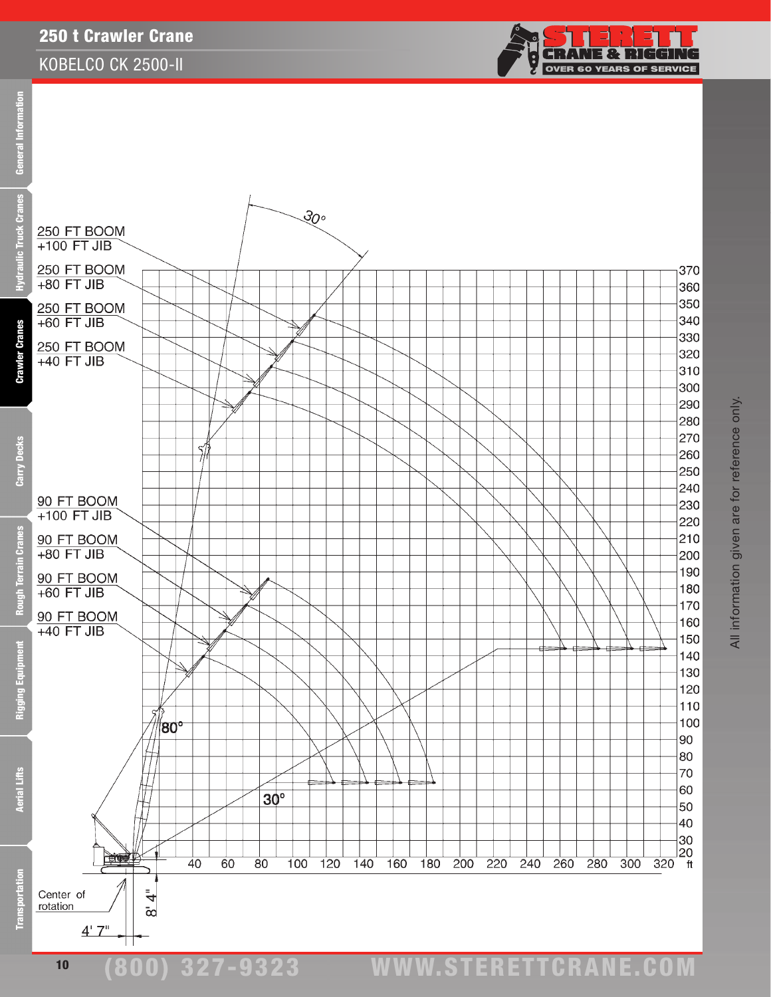#### KOBELCO CK 2500-II



eral Information Ē **Cra** 



(800) 327-9323 www.STERETTCRAnE.Com

 $4'$   $7''$ 

Trans

 $\bar{\infty}$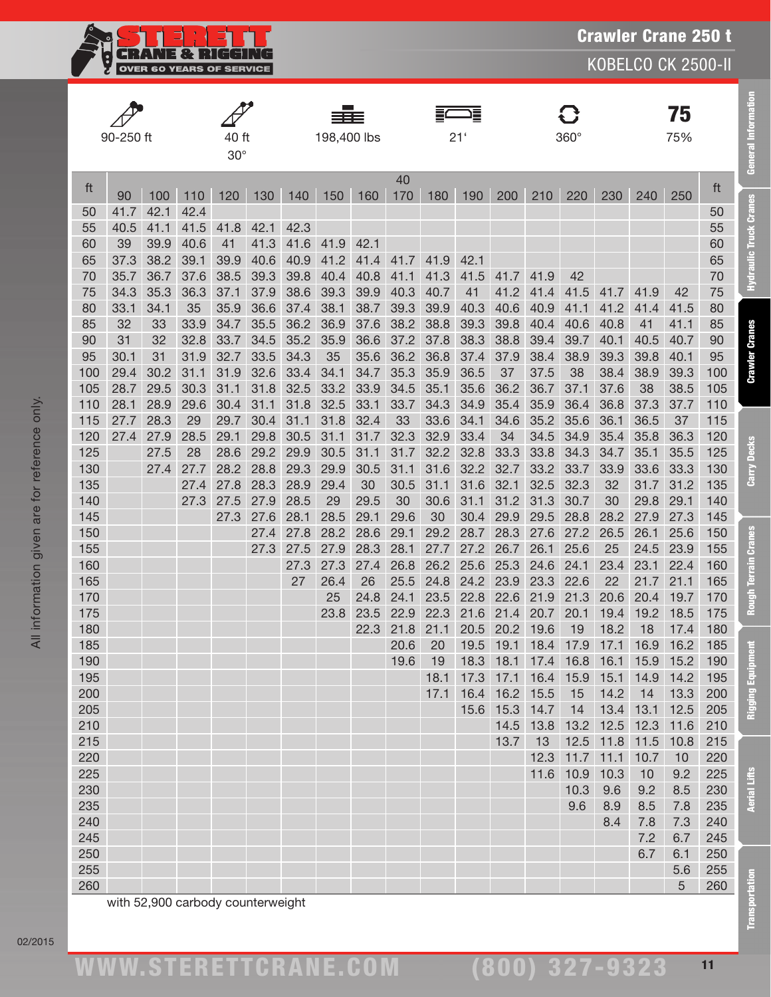**CRANE & RIGGING**<br>OVER 60 YEARS OF SERVICE Ę

KOBELCO CK 2500-II

|            |              |            |                                   |              |              |              | ≡≡≡          |              |              |              | Ξ               |            |                |            |                |                | 75           |            |
|------------|--------------|------------|-----------------------------------|--------------|--------------|--------------|--------------|--------------|--------------|--------------|-----------------|------------|----------------|------------|----------------|----------------|--------------|------------|
|            | 90-250 ft    |            |                                   | 40 ft        |              |              | 198,400 lbs  |              |              |              | 21 <sup>1</sup> |            |                | 360°       |                |                | 75%          |            |
|            |              |            |                                   | $30^\circ$   |              |              |              |              |              |              |                 |            |                |            |                |                |              |            |
| ft         | 90           | 100        | 110                               | 120          | 130          | 140          | 150          | 160          | 40<br>170    | 180          | 190             | 200        | 210            | 220        | 230            | 240            | 250          | ft         |
| 50         | 41.7         | 42.1       | 42.4                              |              |              |              |              |              |              |              |                 |            |                |            |                |                |              | 50         |
| 55         | 40.5         | 41.1       | 41.5                              | 41.8         | 42.1         | 42.3         |              |              |              |              |                 |            |                |            |                |                |              | 55         |
| 60         | 39           | 39.9       | 40.6                              | 41           | 41.3         | 41.6         | 41.9         | 42.1         |              |              |                 |            |                |            |                |                |              | 60         |
| 65         | 37.3         | 38.2       | 39.1                              | 39.9         | 40.6         | 40.9         | 41.2         | 41.4         | 41.7         | 41.9         | 42.1            |            |                |            |                |                |              | 65         |
| 70         | 35.7         | 36.7       | 37.6                              | 38.5         | 39.3         | 39.8         | 40.4         | 40.8         | 41.1         | 41.3         | 41.5            | 41.7       | 41.9           | 42         |                |                |              | 70         |
| 75         | 34.3         | 35.3       | 36.3                              | 37.1         | 37.9         | 38.6         | 39.3         | 39.9         | 40.3         | 40.7         | 41              | 41.2       | 41.4           | 41.5       | 41.7           | 41.9           | 42           | 75         |
| 80         | 33.1         | 34.1       | 35                                | 35.9         | 36.6         | 37.4         | 38.1         | 38.7         | 39.3         | 39.9         | 40.3            | 40.6       | 40.9           | 41.1       | 41.2           | 41.4           | 41.5         | 80         |
| 85         | 32           | 33         | 33.9                              | 34.7         | 35.5         | 36.2         | 36.9         | 37.6         | 38.2         | 38.8         | 39.3            | 39.8       | 40.4           | 40.6       | 40.8           | 41             | 41.1         | 85         |
| 90         | 31           | 32         | 32.8                              | 33.7         | 34.5         | 35.2         | 35.9         | 36.6         | 37.2         | 37.8         | 38.3            | 38.8       | 39.4           | 39.7       | 40.1           | 40.5           | 40.7         | 90         |
| 95         | 30.1         | 31<br>30.2 | 31.9<br>31.1                      | 32.7<br>31.9 | 33.5<br>32.6 | 34.3         | 35           | 35.6<br>34.7 | 36.2         | 36.8         | 37.4            | 37.9<br>37 | 38.4           | 38.9       | 39.3           | 39.8<br>38.9   | 40.1<br>39.3 | 95         |
| 100<br>105 | 29.4<br>28.7 | 29.5       | 30.3                              | 31.1         | 31.8         | 33.4<br>32.5 | 34.1<br>33.2 | 33.9         | 35.3<br>34.5 | 35.9<br>35.1 | 36.5<br>35.6    | 36.2       | 37.5<br>36.7   | 38<br>37.1 | 38.4<br>37.6   | 38             | 38.5         | 100<br>105 |
| 110        | 28.1         | 28.9       | 29.6                              | 30.4         | 31.1         | 31.8         | 32.5         | 33.1         | 33.7         | 34.3         | 34.9            | 35.4       | 35.9           | 36.4       | 36.8           | 37.3           | 37.7         | 110        |
| 115        | 27.7         | 28.3       | 29                                | 29.7         | 30.4         | 31.1         | 31.8         | 32.4         | 33           | 33.6         | 34.1            | 34.6       | 35.2           | 35.6       | 36.1           | 36.5           | 37           | 115        |
| 120        | 27.4         | 27.9       | 28.5                              | 29.1         | 29.8         | 30.5         | 31.1         | 31.7         | 32.3         | 32.9         | 33.4            | 34         | 34.5           | 34.9       | 35.4           | 35.8           | 36.3         | 120        |
| 125        |              | 27.5       | 28                                | 28.6         | 29.2         | 29.9         | 30.5         | 31.1         | 31.7         | 32.2         | 32.8            | 33.3       | 33.8           | 34.3       | 34.7           | 35.1           | 35.5         | 125        |
| 130        |              | 27.4       | 27.7                              | 28.2         | 28.8         | 29.3         | 29.9         | 30.5         | 31.1         | 31.6         | 32.2            | 32.7       | 33.2           | 33.7       | 33.9           | 33.6           | 33.3         | 130        |
| 135        |              |            | 27.4                              | 27.8         | 28.3         | 28.9         | 29.4         | 30           | 30.5         | 31.1         | 31.6            | 32.1       | 32.5           | 32.3       | 32             | 31.7           | 31.2         | 135        |
| 140        |              |            | 27.3                              | 27.5         | 27.9         | 28.5         | 29           | 29.5         | 30           | 30.6         | 31.1            | 31.2       | 31.3           | 30.7       | 30             | 29.8           | 29.1         | 140        |
| 145        |              |            |                                   | 27.3         | 27.6         | 28.1         | 28.5         | 29.1         | 29.6         | 30           | 30.4            | 29.9       | 29.5           | 28.8       | 28.2           | 27.9           | 27.3         | 145        |
| 150        |              |            |                                   |              | 27.4         | 27.8         | 28.2         | 28.6         | 29.1         | 29.2         | 28.7            | 28.3       | 27.6           | 27.2       | 26.5           | 26.1           | 25.6         | 150        |
| 155        |              |            |                                   |              | 27.3         | 27.5         | 27.9         | 28.3         | 28.1         | 27.7         | 27.2            | 26.7       | 26.1           | 25.6       | 25             | 24.5           | 23.9         | 155        |
| 160        |              |            |                                   |              |              | 27.3         | 27.3         | 27.4         | 26.8         | 26.2         | 25.6            | 25.3       | 24.6           | 24.1       | 23.4           | 23.1           | 22.4         | 160        |
| 165        |              |            |                                   |              |              | 27           | 26.4         | 26           | 25.5         | 24.8         | 24.2            | 23.9       | 23.3           | 22.6       | 22             | 21.7           | 21.1         | 165        |
| 170        |              |            |                                   |              |              |              | 25           | 24.8         | 24.1         | 23.5         | 22.8            | 22.6       | 21.9           | 21.3       | 20.6           | 20.4           | 19.7         | 170        |
| 175        |              |            |                                   |              |              |              | 23.8         | 23.5         | 22.9         | 22.3         | 21.6            | 21.4       | 20.7           | 20.1       | 19.4           | 19.2           | 18.5         | 175        |
| 180        |              |            |                                   |              |              |              |              | 22.3         | 21.8         | 21.1         | 20.5            | 20.2       | 19.6           | 19         | 18.2           | 18             | 17.4         | 180        |
| 185        |              |            |                                   |              |              |              |              |              | 20.6         | 20           | 19.5            |            | 19.1 18.4 17.9 |            | 17.1           | 16.9           | 16.2         | 185        |
| 190        |              |            |                                   |              |              |              |              |              | 19.6         | 19           | 18.3            | 18.1       | 17.4           |            |                | 16.8 16.1 15.9 | 15.2         | 190        |
| 195        |              |            |                                   |              |              |              |              |              |              | 18.1         | 17.3            | 17.1       | 16.4           | 15.9       | 15.1           | 14.9           | 14.2         | 195        |
| 200        |              |            |                                   |              |              |              |              |              |              | 17.1         | 16.4            | 16.2       | 15.5           | 15         | 14.2           | 14             | 13.3         | 200        |
| 205        |              |            |                                   |              |              |              |              |              |              |              | 15.6            | 15.3       | 14.7           | 14         | 13.4           | 13.1           | 12.5         | 205        |
| 210        |              |            |                                   |              |              |              |              |              |              |              |                 | 14.5       | 13.8           |            | 13.2 12.5      | 12.3           | 11.6         | 210        |
| 215        |              |            |                                   |              |              |              |              |              |              |              |                 | 13.7       | 13             |            | 12.5 11.8 11.5 |                | 10.8         | 215        |
| 220        |              |            |                                   |              |              |              |              |              |              |              |                 |            | 12.3           |            | $11.7$ 11.1    | 10.7           | 10           | 220        |
| 225        |              |            |                                   |              |              |              |              |              |              |              |                 |            | 11.6           | 10.9       | 10.3           | 10             | 9.2          | 225        |
| 230        |              |            |                                   |              |              |              |              |              |              |              |                 |            |                | 10.3       | 9.6            | 9.2            | 8.5          | 230        |
| 235        |              |            |                                   |              |              |              |              |              |              |              |                 |            |                | 9.6        | 8.9            | 8.5            | 7.8          | 235        |
| 240        |              |            |                                   |              |              |              |              |              |              |              |                 |            |                |            | 8.4            | 7.8            | 7.3          | 240        |
| 245        |              |            |                                   |              |              |              |              |              |              |              |                 |            |                |            |                | 7.2            | 6.7          | 245        |
| 250        |              |            |                                   |              |              |              |              |              |              |              |                 |            |                |            |                | 6.7            | 6.1          | 250        |
| 255        |              |            |                                   |              |              |              |              |              |              |              |                 |            |                |            |                |                | 5.6          | 255        |
| 260        |              |            |                                   |              |              |              |              |              |              |              |                 |            |                |            |                |                | 5            | 260        |
|            |              |            | with 52,900 carbody counterweight |              |              |              |              |              |              |              |                 |            |                |            |                |                |              |            |

02/2015

Transportation Aerial Lifts Rigging Equipment Rough Terrain Cranes Carry Decks Crawler Cranes Hydraulic Truck Cranes General Information

**Rough Terrain Cranes** 

**Rigging Equipment** 

**Aerial Lifts** 

**Transportation** 

Carry Decks

**General Information** 

**Hydraulic Truck Cranes**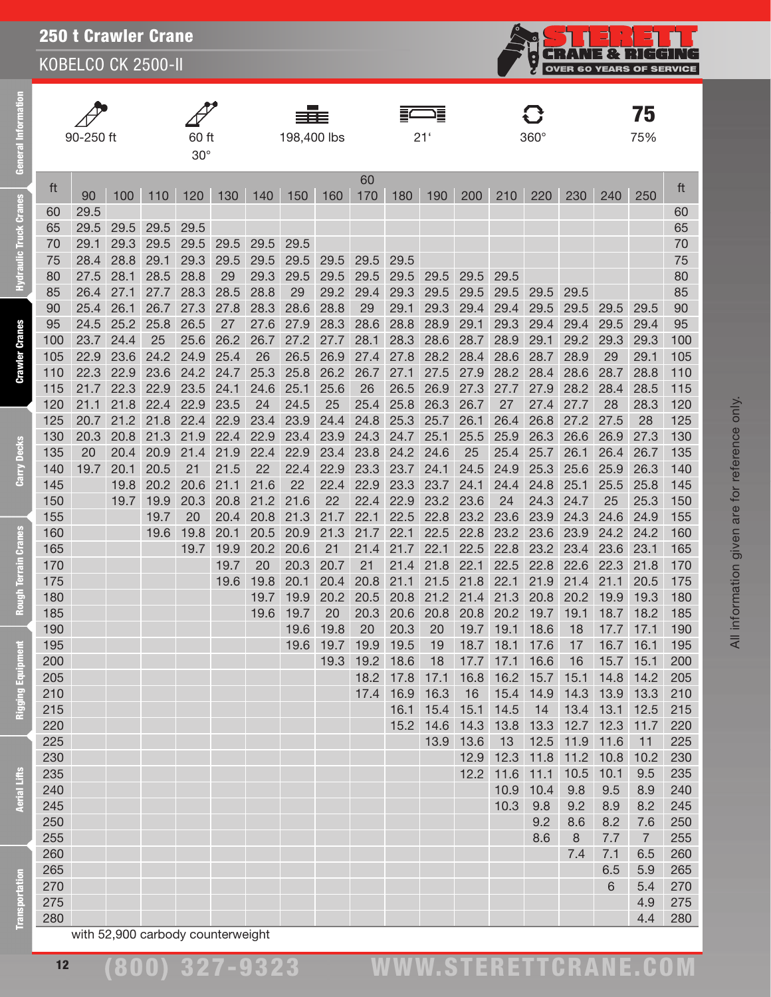KOBELCO CK 2500-II



| ē                  |            | 90-250 ft    |              |              | 60 ft        |              |            | 198,400 lbs  |            |                |              | 21'          |              |                | $360^\circ$       |              |                | 75<br>75%                   |            |
|--------------------|------------|--------------|--------------|--------------|--------------|--------------|------------|--------------|------------|----------------|--------------|--------------|--------------|----------------|-------------------|--------------|----------------|-----------------------------|------------|
| ق                  |            |              |              |              | $30^\circ$   |              |            |              |            |                |              |              |              |                |                   |              |                |                             |            |
|                    | ft         | 90           | 100          | 110          | 120          | 130          | 140        | 150          | 160        | 60<br>170      | 180          | 190          | 200          | 210            | 220               | 230          | 240            | 250                         | ft         |
| ck Cranes          | 60         | 29.5         |              |              |              |              |            |              |            |                |              |              |              |                |                   |              |                |                             | 60         |
|                    | 65         | 29.5         | 29.5         | 29.5         | 29.5         |              |            |              |            |                |              |              |              |                |                   |              |                |                             | 65         |
|                    | 70         | 29.1         | 29.3         | 29.5         | 29.5         | 29.5         | 29.5       | 29.5         |            |                |              |              |              |                |                   |              |                |                             | 70         |
| ulic Tru           | 75         | 28.4         | 28.8         | 29.1         | 29.3         | 29.5         | 29.5       | 29.5         | 29.5       | 29.5           | 29.5         |              |              |                |                   |              |                |                             | 75         |
|                    | 80         | 27.5         | 28.1         | 28.5         | 28.8         | 29           | 29.3       | 29.5         | 29.5       | 29.5           | 29.5         | 29.5         | 29.5         | 29.5           |                   |              |                |                             | 80         |
|                    | 85         | 26.4         | 27.1         | 27.7         | 28.3         | 28.5         | 28.8       | 29           | 29.2       | 29.4           | 29.3         | 29.5         | 29.5         | 29.5           | 29.5              | 29.5         |                |                             | 85         |
|                    | 90         | 25.4         | 26.1         | 26.7         | 27.3         | 27.8         | 28.3       | 28.6         | 28.8       | 29             | 29.1         | 29.3         | 29.4         | 29.4           | 29.5              | 29.5         | 29.5           | 29.5                        | 90         |
| Cranes             | 95         | 24.5         | 25.2         | 25.8         | 26.5         | 27           | 27.6       | 27.9         | 28.3       | 28.6           | 28.8         | 28.9         | 29.1         | 29.3           | 29.4              | 29.4         | 29.5           | 29.4                        | 95         |
|                    | 100        | 23.7         | 24.4         | 25           | 25.6         | 26.2         | 26.7       | 27.2         | 27.7       | 28.1           | 28.3         | 28.6         | 28.7         | 28.9           | 29.1              | 29.2         | 29.3           | 29.3                        | 100        |
| Crawler            | 105        | 22.9         | 23.6         | 24.2         | 24.9         | 25.4         | 26         | 26.5         | 26.9       | 27.4           | 27.8         | 28.2         | 28.4         | 28.6           | 28.7              | 28.9         | 29             | 29.1                        | 105        |
|                    | 110        | 22.3         | 22.9         | 23.6         | 24.2         | 24.7         | 25.3       | 25.8         | 26.2       | 26.7           | 27.1         | 27.5         | 27.9         | 28.2           | 28.4              | 28.6         | 28.7           | 28.8                        | 110        |
|                    | 115        | 21.7         | 22.3         | 22.9         | 23.5         | 24.1         | 24.6       | 25.1         | 25.6       | 26             | 26.5         | 26.9         | 27.3         | 27.7           | 27.9              | 28.2         | 28.4           | 28.5                        | 115        |
|                    | 120<br>125 | 21.1<br>20.7 | 21.8<br>21.2 | 22.4<br>21.8 | 22.9<br>22.4 | 23.5<br>22.9 | 24<br>23.4 | 24.5<br>23.9 | 25<br>24.4 | 25.4<br>24.8   | 25.8<br>25.3 | 26.3<br>25.7 | 26.7<br>26.1 | 27<br>26.4     | 27.4<br>26.8      | 27.7<br>27.2 | 28<br>27.5     | 28.3<br>28                  | 120<br>125 |
|                    | 130        | 20.3         | 20.8         | 21.3         | 21.9         | 22.4         | 22.9       | 23.4         | 23.9       | 24.3           | 24.7         | 25.1         | 25.5         | 25.9           | 26.3              | 26.6         | 26.9           | 27.3                        | 130        |
| <b>Decks</b>       | 135        | 20           | 20.4         | 20.9         | 21.4         | 21.9         | 22.4       | 22.9         | 23.4       | 23.8           | 24.2         | 24.6         | 25           | 25.4           | 25.7              | 26.1         | 26.4           | 26.7                        | 135        |
|                    | 140        | 19.7         | 20.1         | 20.5         | 21           | 21.5         | 22         | 22.4         | 22.9       | 23.3           | 23.7         | 24.1         | 24.5         | 24.9           | 25.3              | 25.6         | 25.9           | 26.3                        | 140        |
| Carry              | 145        |              | 19.8         | 20.2         | 20.6         | 21.1         | 21.6       | 22           | 22.4       | 22.9           | 23.3         | 23.7         | 24.1         | 24.4           | 24.8              | 25.1         | 25.5           | 25.8                        | 145        |
|                    | 150        |              | 19.7         | 19.9         | 20.3         | 20.8         | 21.2       | 21.6         | 22         | 22.4           | 22.9         | 23.2         | 23.6         | 24             | 24.3              | 24.7         | 25             | 25.3                        | 150        |
|                    | 155        |              |              | 19.7         | 20           | 20.4         | 20.8       | 21.3         | 21.7       | 22.1           | 22.5         | 22.8         | 23.2         | 23.6           | 23.9              | 24.3         | 24.6           | 24.9                        | 155        |
|                    | 160        |              |              | 19.6         | 19.8         | 20.1         | 20.5       | 20.9         | 21.3       | 21.7           | 22.1         | 22.5         | 22.8         | 23.2           | 23.6              | 23.9         | 24.2           | 24.2                        | 160        |
| <b>Cranes</b>      | 165        |              |              |              | 19.7         | 19.9         | 20.2       | 20.6         | 21         | 21.4           | 21.7         | 22.1         | 22.5         | 22.8           | 23.2              | 23.4         | 23.6           | 23.1                        | 165        |
|                    | 170        |              |              |              |              | 19.7         | 20         | 20.3         | 20.7       | 21             | 21.4         | 21.8         | 22.1         | 22.5           | 22.8              | 22.6         | 22.3           | 21.8                        | 170        |
|                    | 175        |              |              |              |              | 19.6         | 19.8       | 20.1         | 20.4       | 20.8           | 21.1         | 21.5         | 21.8         | 22.1           | 21.9              | 21.4         | 21.1           | 20.5                        | 175        |
| Rough Terrain      | 180        |              |              |              |              |              | 19.7       | 19.9         | 20.2       | 20.5           | 20.8         | 21.2         | 21.4         | 21.3           | 20.8              | 20.2         | 19.9           | 19.3                        | 180        |
|                    | 185        |              |              |              |              |              | 19.6       | 19.7         | 20         | 20.3           | 20.6         | 20.8         | 20.8         | 20.2           | 19.7              | 19.1         | 18.7           | 18.2                        | 185        |
|                    | 190        |              |              |              |              |              |            | 19.6         | 19.8       | 20             | 20.3         | 20           | 19.7         | 19.1           | 18.6              | 18           | 17.7           | 17.1                        | 190        |
|                    | 195        |              |              |              |              |              |            | 19.6         |            | 19.7 19.9 19.5 |              | 19           |              | 18.7 18.1 17.6 |                   | 17           |                | 16.7 16.1                   | 195        |
| Equipm             | 200<br>205 |              |              |              |              |              |            |              |            | 19.3 19.2 18.6 | 18.2 17.8    | 18<br>17.1   | 17.7<br>16.8 | 17.1           | 16.6<br>16.2 15.7 | 16           |                | 15.7 15.1<br>15.1 14.8 14.2 | 200<br>205 |
|                    | 210        |              |              |              |              |              |            |              |            |                | 17.4 16.9    | 16.3         | 16           |                | 15.4 14.9         |              |                | 14.3 13.9 13.3              | 210        |
| <b>Rigging</b>     | 215        |              |              |              |              |              |            |              |            |                | 16.1         | 15.4         | 15.1         | 14.5           | 14                |              | 13.4 13.1 12.5 |                             | 215        |
|                    | 220        |              |              |              |              |              |            |              |            |                |              | 15.2 14.6    | 14.3         | 13.8           | 13.3              |              | 12.7 12.3      | 11.7                        | 220        |
|                    | 225        |              |              |              |              |              |            |              |            |                |              | 13.9         | 13.6         | 13             | 12.5              | 11.9 11.6    |                | 11                          | 225        |
|                    | 230        |              |              |              |              |              |            |              |            |                |              |              | 12.9         | 12.3           | 11.8              | 11.2         | 10.8           | 10.2                        | 230        |
|                    | 235        |              |              |              |              |              |            |              |            |                |              |              | 12.2         | 11.6           | 11.1              | 10.5         | 10.1           | 9.5                         | 235        |
| Aerial Lifts       | 240        |              |              |              |              |              |            |              |            |                |              |              |              | 10.9           | 10.4              | 9.8          | 9.5            | 8.9                         | 240        |
|                    | 245        |              |              |              |              |              |            |              |            |                |              |              |              | 10.3           | 9.8               | 9.2          | 8.9            | 8.2                         | 245        |
|                    | 250        |              |              |              |              |              |            |              |            |                |              |              |              |                | 9.2               | 8.6          | 8.2            | 7.6                         | 250        |
|                    | 255        |              |              |              |              |              |            |              |            |                |              |              |              |                | 8.6               | $\,8\,$      | 7.7            | $\overline{7}$              | 255        |
|                    | 260        |              |              |              |              |              |            |              |            |                |              |              |              |                |                   | 7.4          | 7.1            | 6.5                         | 260        |
|                    | 265        |              |              |              |              |              |            |              |            |                |              |              |              |                |                   |              | 6.5            | 5.9                         | 265        |
| <b>Isportation</b> | 270        |              |              |              |              |              |            |              |            |                |              |              |              |                |                   |              | 6              | 5.4                         | 270        |
|                    | 275        |              |              |              |              |              |            |              |            |                |              |              |              |                |                   |              |                | 4.9                         | 275        |
|                    | 280        |              |              |              |              |              |            |              |            |                |              |              |              |                |                   |              |                | 4.4                         | 280        |

| 70  | 29.1                              | 29.3 | 29.5 | 29.5 | 29.5 | 29.5 | 29.5 |      |      |      |      |      |      |      |      |      |                | 70  |
|-----|-----------------------------------|------|------|------|------|------|------|------|------|------|------|------|------|------|------|------|----------------|-----|
| 75  | 28.4                              | 28.8 | 29.1 | 29.3 | 29.5 | 29.5 | 29.5 | 29.5 | 29.5 | 29.5 |      |      |      |      |      |      |                | 75  |
| 80  | 27.5                              | 28.1 | 28.5 | 28.8 | 29   | 29.3 | 29.5 | 29.5 | 29.5 | 29.5 | 29.5 | 29.5 | 29.5 |      |      |      |                | 80  |
| 85  | 26.4                              | 27.1 | 27.7 | 28.3 | 28.5 | 28.8 | 29   | 29.2 | 29.4 | 29.3 | 29.5 | 29.5 | 29.5 | 29.5 | 29.5 |      |                | 85  |
| 90  | 25.4                              | 26.1 | 26.7 | 27.3 | 27.8 | 28.3 | 28.6 | 28.8 | 29   | 29.1 | 29.3 | 29.4 | 29.4 | 29.5 | 29.5 | 29.5 | 29.5           | 90  |
| 95  | 24.5                              | 25.2 | 25.8 | 26.5 | 27   | 27.6 | 27.9 | 28.3 | 28.6 | 28.8 | 28.9 | 29.1 | 29.3 | 29.4 | 29.4 | 29.5 | 29.4           | 95  |
| 100 | 23.7                              | 24.4 | 25   | 25.6 | 26.2 | 26.7 | 27.2 | 27.7 | 28.1 | 28.3 | 28.6 | 28.7 | 28.9 | 29.1 | 29.2 | 29.3 | 29.3           | 100 |
| 105 | 22.9                              | 23.6 | 24.2 | 24.9 | 25.4 | 26   | 26.5 | 26.9 | 27.4 | 27.8 | 28.2 | 28.4 | 28.6 | 28.7 | 28.9 | 29   | 29.1           | 105 |
| 110 | 22.3                              | 22.9 | 23.6 | 24.2 | 24.7 | 25.3 | 25.8 | 26.2 | 26.7 | 27.1 | 27.5 | 27.9 | 28.2 | 28.4 | 28.6 | 28.7 | 28.8           | 110 |
| 115 | 21.7                              | 22.3 | 22.9 | 23.5 | 24.1 | 24.6 | 25.1 | 25.6 | 26   | 26.5 | 26.9 | 27.3 | 27.7 | 27.9 | 28.2 | 28.4 | 28.5           | 115 |
| 120 | 21.1                              | 21.8 | 22.4 | 22.9 | 23.5 | 24   | 24.5 | 25   | 25.4 | 25.8 | 26.3 | 26.7 | 27   | 27.4 | 27.7 | 28   | 28.3           | 120 |
| 125 | 20.7                              | 21.2 | 21.8 | 22.4 | 22.9 | 23.4 | 23.9 | 24.4 | 24.8 | 25.3 | 25.7 | 26.1 | 26.4 | 26.8 | 27.2 | 27.5 | 28             | 125 |
| 130 | 20.3                              | 20.8 | 21.3 | 21.9 | 22.4 | 22.9 | 23.4 | 23.9 | 24.3 | 24.7 | 25.1 | 25.5 | 25.9 | 26.3 | 26.6 | 26.9 | 27.3           | 130 |
| 135 | 20                                | 20.4 | 20.9 | 21.4 | 21.9 | 22.4 | 22.9 | 23.4 | 23.8 | 24.2 | 24.6 | 25   | 25.4 | 25.7 | 26.1 | 26.4 | 26.7           | 135 |
| 140 | 19.7                              | 20.1 | 20.5 | 21   | 21.5 | 22   | 22.4 | 22.9 | 23.3 | 23.7 | 24.1 | 24.5 | 24.9 | 25.3 | 25.6 | 25.9 | 26.3           | 140 |
| 145 |                                   | 19.8 | 20.2 | 20.6 | 21.1 | 21.6 | 22   | 22.4 | 22.9 | 23.3 | 23.7 | 24.1 | 24.4 | 24.8 | 25.1 | 25.5 | 25.8           | 145 |
| 150 |                                   | 19.7 | 19.9 | 20.3 | 20.8 | 21.2 | 21.6 | 22   | 22.4 | 22.9 | 23.2 | 23.6 | 24   | 24.3 | 24.7 | 25   | 25.3           | 150 |
| 155 |                                   |      | 19.7 | 20   | 20.4 | 20.8 | 21.3 | 21.7 | 22.1 | 22.5 | 22.8 | 23.2 | 23.6 | 23.9 | 24.3 | 24.6 | 24.9           | 155 |
| 160 |                                   |      | 19.6 | 19.8 | 20.1 | 20.5 | 20.9 | 21.3 | 21.7 | 22.1 | 22.5 | 22.8 | 23.2 | 23.6 | 23.9 | 24.2 | 24.2           | 160 |
| 165 |                                   |      |      | 19.7 | 19.9 | 20.2 | 20.6 | 21   | 21.4 | 21.7 | 22.1 | 22.5 | 22.8 | 23.2 | 23.4 | 23.6 | 23.1           | 165 |
| 170 |                                   |      |      |      | 19.7 | 20   | 20.3 | 20.7 | 21   | 21.4 | 21.8 | 22.1 | 22.5 | 22.8 | 22.6 | 22.3 | 21.8           | 170 |
| 175 |                                   |      |      |      | 19.6 | 19.8 | 20.1 | 20.4 | 20.8 | 21.1 | 21.5 | 21.8 | 22.1 | 21.9 | 21.4 | 21.1 | 20.5           | 175 |
| 180 |                                   |      |      |      |      | 19.7 | 19.9 | 20.2 | 20.5 | 20.8 | 21.2 | 21.4 | 21.3 | 20.8 | 20.2 | 19.9 | 19.3           | 180 |
| 185 |                                   |      |      |      |      | 19.6 | 19.7 | 20   | 20.3 | 20.6 | 20.8 | 20.8 | 20.2 | 19.7 | 19.1 | 18.7 | 18.2           | 185 |
| 190 |                                   |      |      |      |      |      | 19.6 | 19.8 | 20   | 20.3 | 20   | 19.7 | 19.1 | 18.6 | 18   | 17.7 | 17.1           | 190 |
| 195 |                                   |      |      |      |      |      | 19.6 | 19.7 | 19.9 | 19.5 | 19   | 18.7 | 18.1 | 17.6 | 17   | 16.7 | 16.1           | 195 |
| 200 |                                   |      |      |      |      |      |      | 19.3 | 19.2 | 18.6 | 18   | 17.7 | 17.1 | 16.6 | 16   | 15.7 | 15.1           | 200 |
| 205 |                                   |      |      |      |      |      |      |      | 18.2 | 17.8 | 17.1 | 16.8 | 16.2 | 15.7 | 15.1 | 14.8 | 14.2           | 205 |
| 210 |                                   |      |      |      |      |      |      |      | 17.4 | 16.9 | 16.3 | 16   | 15.4 | 14.9 | 14.3 | 13.9 | 13.3           | 210 |
| 215 |                                   |      |      |      |      |      |      |      |      | 16.1 | 15.4 | 15.1 | 14.5 | 14   | 13.4 | 13.1 | 12.5           | 215 |
| 220 |                                   |      |      |      |      |      |      |      |      | 15.2 | 14.6 | 14.3 | 13.8 | 13.3 | 12.7 | 12.3 | 11.7           | 220 |
| 225 |                                   |      |      |      |      |      |      |      |      |      | 13.9 | 13.6 | 13   | 12.5 | 11.9 | 11.6 | 11             | 225 |
| 230 |                                   |      |      |      |      |      |      |      |      |      |      | 12.9 | 12.3 | 11.8 | 11.2 | 10.8 | 10.2           | 230 |
| 235 |                                   |      |      |      |      |      |      |      |      |      |      | 12.2 | 11.6 | 11.1 | 10.5 | 10.1 | 9.5            | 235 |
| 240 |                                   |      |      |      |      |      |      |      |      |      |      |      | 10.9 | 10.4 | 9.8  | 9.5  | 8.9            | 240 |
| 245 |                                   |      |      |      |      |      |      |      |      |      |      |      | 10.3 | 9.8  | 9.2  | 8.9  | 8.2            | 245 |
| 250 |                                   |      |      |      |      |      |      |      |      |      |      |      |      | 9.2  | 8.6  | 8.2  | 7.6            | 250 |
| 255 |                                   |      |      |      |      |      |      |      |      |      |      |      |      | 8.6  | 8    | 7.7  | $\overline{7}$ | 255 |
| 260 |                                   |      |      |      |      |      |      |      |      |      |      |      |      |      | 7.4  | 7.1  | 6.5            | 260 |
| 265 |                                   |      |      |      |      |      |      |      |      |      |      |      |      |      |      | 6.5  | 5.9            | 265 |
| 270 |                                   |      |      |      |      |      |      |      |      |      |      |      |      |      |      | 6    | 5.4            | 270 |
| 275 |                                   |      |      |      |      |      |      |      |      |      |      |      |      |      |      |      | 4.9            | 275 |
| 280 |                                   |      |      |      |      |      |      |      |      |      |      |      |      |      |      |      | 4.4            | 280 |
|     | with 52,900 carbody counterweight |      |      |      |      |      |      |      |      |      |      |      |      |      |      |      |                |     |
|     |                                   |      |      |      |      |      |      |      |      |      |      |      |      |      |      |      |                |     |

Ē

ipment

**Rigging Equi** 

**Aerial Lifts** 

oortation

Frans

## (800) 327-9323 www.STERETTCRAnE.Com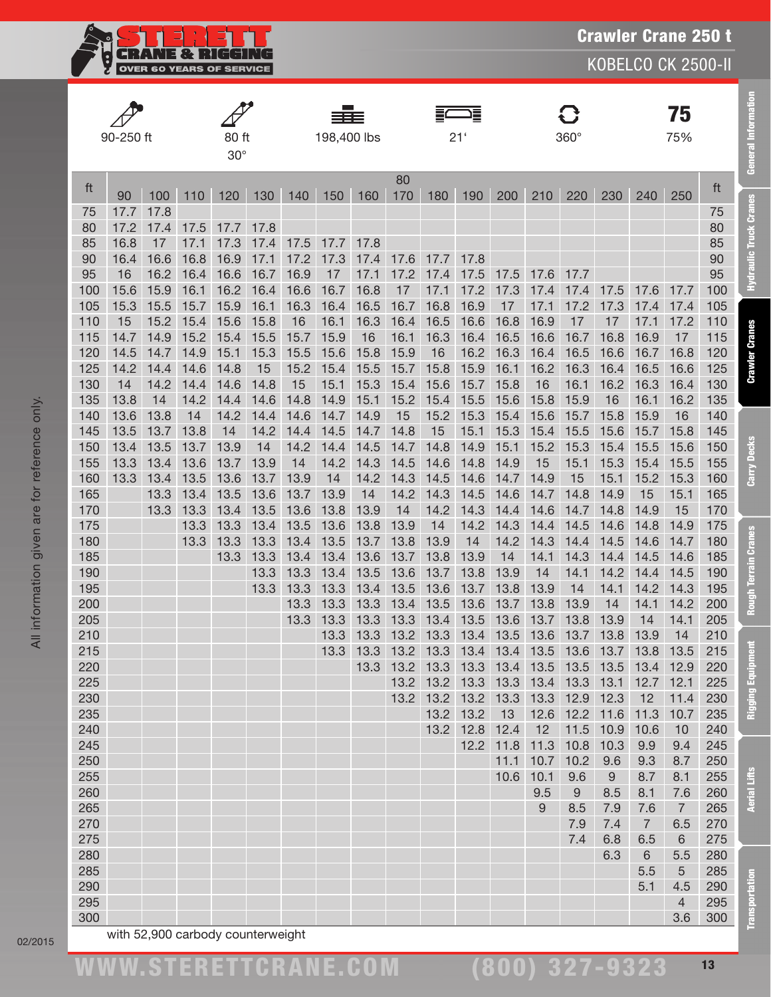**CRANE & RIGGING**<br>OVER 60 YEARS OF SERVICE ĝ

KOBELCO CK 2500-II

|            |            |              |              |                     |              |              | ≡≡≡          |              |              |                                                   | Ξ            |                |              |                |              |                        | 75                    |            |
|------------|------------|--------------|--------------|---------------------|--------------|--------------|--------------|--------------|--------------|---------------------------------------------------|--------------|----------------|--------------|----------------|--------------|------------------------|-----------------------|------------|
|            | 90-250 ft  |              |              | 80 ft<br>$30^\circ$ |              |              | 198,400 lbs  |              |              |                                                   | 21'          |                |              | $360^\circ$    |              |                        | 75%                   |            |
| ft         | 90         | 100          | 110          | 120                 | 130          | 140          | 150          | 160          | 80<br>170    | 180                                               | 190          | 200            | 210          | 220            | 230          | 240                    | 250                   | ft         |
| 75         | 17.7       | 17.8         |              |                     |              |              |              |              |              |                                                   |              |                |              |                |              |                        |                       | 75         |
| 80         | 17.2       | 17.4         | 17.5         | 17.7                | 17.8         |              |              |              |              |                                                   |              |                |              |                |              |                        |                       | 80         |
| 85         | 16.8       | 17           | 17.1         | 17.3                | 17.4         | 17.5         | 17.7         | 17.8         |              |                                                   |              |                |              |                |              |                        |                       | 85         |
| 90<br>95   | 16.4<br>16 | 16.6<br>16.2 | 16.8<br>16.4 | 16.9<br>16.6        | 17.1<br>16.7 | 17.2<br>16.9 | 17.3<br>17   | 17.4<br>17.1 | 17.6<br>17.2 | 17.7<br>17.4                                      | 17.8<br>17.5 | 17.5           | 17.6         | 17.7           |              |                        |                       | 90<br>95   |
| 100        | 15.6       | 15.9         | 16.1         | 16.2                | 16.4         | 16.6         | 16.7         | 16.8         | 17           | 17.1                                              | 17.2         | 17.3           | 17.4         | 17.4           | 17.5         | 17.6                   | 17.7                  | 100        |
| 105        | 15.3       | 15.5         | 15.7         | 15.9                | 16.1         | 16.3         | 16.4         | 16.5         | 16.7         | 16.8                                              | 16.9         | 17             | 17.1         | 17.2           | 17.3         | 17.4                   | 17.4                  | 105        |
| 110        | 15         | 15.2         | 15.4         | 15.6                | 15.8         | 16           | 16.1         | 16.3         | 16.4         | 16.5                                              | 16.6         | 16.8           | 16.9         | 17             | 17           | 17.1                   | 17.2                  | 110        |
| 115        | 14.7       | 14.9         | 15.2         | 15.4                | 15.5         | 15.7         | 15.9         | 16           | 16.1         | 16.3                                              | 16.4         | 16.5           | 16.6         | 16.7           | 16.8         | 16.9                   | 17                    | 115        |
| 120        | 14.5       | 14.7         | 14.9         | 15.1                | 15.3         | 15.5         | 15.6         | 15.8         | 15.9         | 16                                                | 16.2         | 16.3           | 16.4         | 16.5           | 16.6         | 16.7                   | 16.8                  | 120        |
| 125        | 14.2       | 14.4         | 14.6         | 14.8                | 15           | 15.2         | 15.4         | 15.5         | 15.7         | 15.8                                              | 15.9         | 16.1           | 16.2         | 16.3           | 16.4         | 16.5                   | 16.6                  | 125        |
| 130        | 14         | 14.2         | 14.4         | 14.6                | 14.8         | 15           | 15.1         | 15.3         | 15.4         | 15.6                                              | 15.7         | 15.8           | 16           | 16.1           | 16.2         | 16.3                   | 16.4                  | 130        |
| 135        | 13.8       | 14           | 14.2         | 14.4                | 14.6         | 14.8         | 14.9         | 15.1         | 15.2         | 15.4                                              | 15.5         | 15.6           | 15.8         | 15.9           | 16           | 16.1                   | 16.2                  | 135        |
| 140        | 13.6       | 13.8         | 14           | 14.2                | 14.4         | 14.6         | 14.7         | 14.9         | 15           | 15.2                                              | 15.3         | 15.4           | 15.6         | 15.7           | 15.8         | 15.9                   | 16                    | 140        |
| 145        | 13.5       | 13.7         | 13.8         | 14                  | 14.2         | 14.4         | 14.5         | 14.7         | 14.8         | 15                                                | 15.1         | 15.3           | 15.4         | 15.5           | 15.6         | 15.7                   | 15.8                  | 145        |
| 150        | 13.4       | 13.5         | 13.7         | 13.9                | 14           | 14.2         | 14.4         | 14.5         | 14.7         | 14.8                                              | 14.9         | 15.1           | 15.2         | 15.3           | 15.4         | 15.5                   | 15.6                  | 150        |
| 155        | 13.3       | 13.4         | 13.6         | 13.7                | 13.9         | 14           | 14.2         | 14.3         | 14.5         | 14.6                                              | 14.8         | 14.9           | 15           | 15.1           | 15.3         | 15.4                   | 15.5                  | 155        |
| 160        | 13.3       | 13.4         | 13.5         | 13.6                | 13.7         | 13.9         | 14           | 14.2         | 14.3         | 14.5                                              | 14.6         | 14.7           | 14.9         | 15             | 15.1         | 15.2                   | 15.3                  | 160        |
| 165        |            | 13.3         | 13.4         | 13.5                | 13.6         | 13.7         | 13.9         | 14           | 14.2         | 14.3                                              | 14.5         | 14.6           | 14.7         | 14.8           | 14.9         | 15                     | 15.1                  | 165        |
| 170        |            | 13.3         | 13.3         | 13.4                | 13.5         | 13.6         | 13.8         | 13.9         | 14           | 14.2                                              | 14.3         | 14.4           | 14.6         | 14.7           | 14.8         | 14.9                   | 15                    | 170        |
| 175        |            |              | 13.3         | 13.3                | 13.4         | 13.5         | 13.6         | 13.8         | 13.9         | 14                                                | 14.2         | 14.3           | 14.4         | 14.5           | 14.6         | 14.8                   | 14.9                  | 175        |
| 180<br>185 |            |              | 13.3         | 13.3<br>13.3        | 13.3<br>13.3 | 13.4<br>13.4 | 13.5<br>13.4 | 13.7<br>13.6 | 13.8<br>13.7 | 13.9<br>13.8                                      | 14<br>13.9   | 14.2<br>14     | 14.3<br>14.1 | 14.4<br>14.3   | 14.5<br>14.4 | 14.6<br>14.5           | 14.7<br>14.6          | 180<br>185 |
| 190        |            |              |              |                     | 13.3         | 13.3         | 13.4         | 13.5         | 13.6         | 13.7                                              | 13.8         | 13.9           | 14           | 14.1           | 14.2         | 14.4                   | 14.5                  | 190        |
| 195        |            |              |              |                     | 13.3         | 13.3         | 13.3         | 13.4         | 13.5         | 13.6                                              | 13.7         | 13.8           | 13.9         | 14             | 14.1         | 14.2                   | 14.3                  | 195        |
| 200        |            |              |              |                     |              | 13.3         | 13.3         | 13.3         | 13.4         | 13.5                                              | 13.6         | 13.7           | 13.8         | 13.9           | 14           | 14.1                   | 14.2                  | 200        |
| 205        |            |              |              |                     |              | 13.3         | 13.3         | 13.3         | 13.3         | 13.4                                              | 13.5         | 13.6           | 13.7         | 13.8           | 13.9         | 14                     | 14.1                  | 205        |
| 210        |            |              |              |                     |              |              | 13.3         | 13.3         | 13.2         | 13.3                                              | 13.4         | 13.5           | 13.6         | 13.7           | 13.8         | 13.9                   | 14                    | 210        |
| 215        |            |              |              |                     |              |              | 13.3         | 13.3         |              | 13.2 13.3 13.4 13.4 13.5 13.6 13.7 13.8 13.5      |              |                |              |                |              |                        |                       | 215        |
| 220        |            |              |              |                     |              |              |              |              |              | 13.3 13.2 13.3 13.3 13.4 13.5 13.5 13.5 13.4 12.9 |              |                |              |                |              |                        |                       | 220        |
| 225        |            |              |              |                     |              |              |              |              |              | 13.2 13.2 13.3 13.3 13.4 13.3 13.1                |              |                |              |                |              | 12.7                   | 12.1                  | 225        |
| 230        |            |              |              |                     |              |              |              |              | 13.2         |                                                   |              | 13.2 13.2 13.3 |              | 13.3 12.9 12.3 |              | 12                     | 11.4                  | 230        |
| 235        |            |              |              |                     |              |              |              |              |              |                                                   | 13.2 13.2    | 13             | 12.6         |                | 12.2 11.6    | 11.3                   | 10.7                  | 235        |
| 240        |            |              |              |                     |              |              |              |              |              | 13.2                                              | 12.8         | 12.4           | 12           |                | 11.5 10.9    | 10.6                   | 10                    | 240        |
| 245        |            |              |              |                     |              |              |              |              |              |                                                   | 12.2         | 11.8           | 11.3         | 10.8           | 10.3         | 9.9                    | 9.4                   | 245        |
| 250        |            |              |              |                     |              |              |              |              |              |                                                   |              | 11.1           | 10.7         | 10.2           | 9.6          | 9.3                    | 8.7                   | 250        |
| 255        |            |              |              |                     |              |              |              |              |              |                                                   |              | 10.6           | 10.1         | 9.6            | 9            | 8.7                    | 8.1                   | 255        |
| 260        |            |              |              |                     |              |              |              |              |              |                                                   |              |                | 9.5          | 9              | 8.5          | 8.1                    | 7.6                   | 260        |
| 265        |            |              |              |                     |              |              |              |              |              |                                                   |              |                | 9            | 8.5            | 7.9          | 7.6<br>$7\overline{ }$ | $\overline{7}$        | 265        |
| 270<br>275 |            |              |              |                     |              |              |              |              |              |                                                   |              |                |              | 7.9<br>7.4     | 7.4<br>6.8   | 6.5                    | 6.5<br>$6\phantom{1}$ | 270<br>275 |
| 280        |            |              |              |                     |              |              |              |              |              |                                                   |              |                |              |                | 6.3          | $6\,$                  | 5.5                   | 280        |
| 285        |            |              |              |                     |              |              |              |              |              |                                                   |              |                |              |                |              | 5.5                    | 5                     | 285        |
| 290        |            |              |              |                     |              |              |              |              |              |                                                   |              |                |              |                |              | 5.1                    | 4.5                   | 290        |
| 295        |            |              |              |                     |              |              |              |              |              |                                                   |              |                |              |                |              |                        | $\overline{4}$        | 295        |
| 300        |            |              |              |                     |              |              |              |              |              |                                                   |              |                |              |                |              |                        | 3.6                   | 300        |

02/2015

(800) 327-9323

Transportation Aerial Lifts Rigging Equipment Rough Terrain Cranes Carry Decks Crawler Cranes Hydraulic Truck Cranes General Information

**Rough Terrain Cranes** 

Rigging Equipment

**Aerial Lifts** 

**Transportation** 

Carry Decks

**General Information** 

**Hydraulic Truck Cranes**